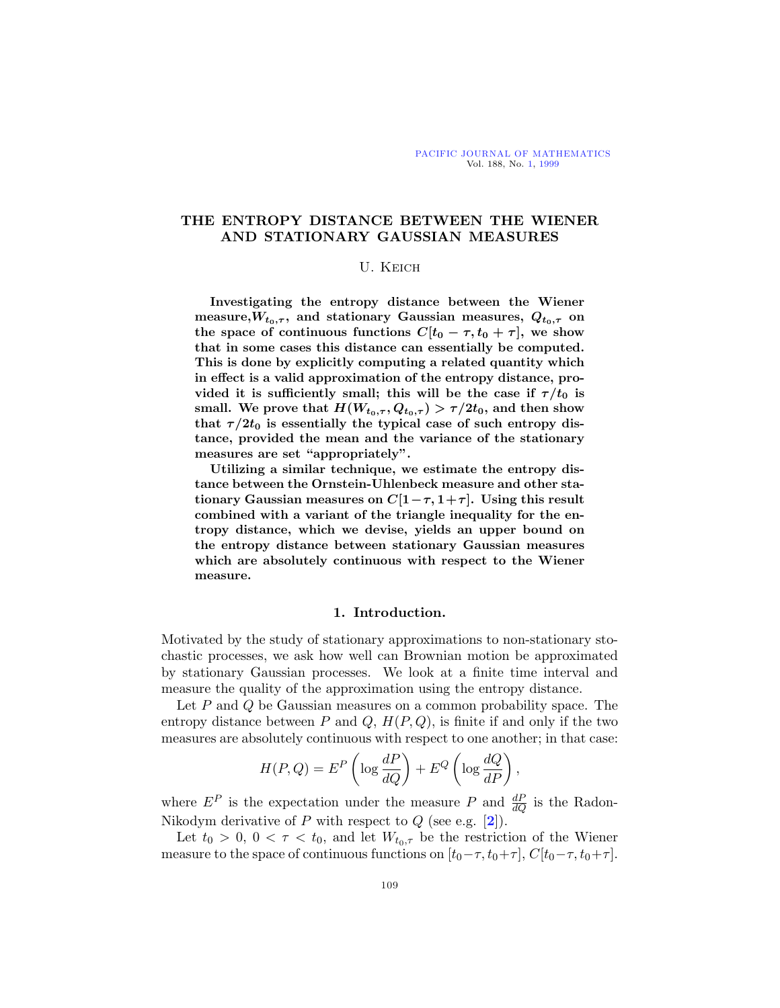## **THE ENTROPY DISTANCE BETWEEN THE WIENER AND STATIONARY GAUSSIAN MEASURES**

#### U. Keich

**Investigating the entropy distance between the Wiener** measure, $W_{t_0,\tau}$ , and stationary Gaussian measures,  $Q_{t_0,\tau}$  on **the space of continuous functions**  $C[t_0 - \tau, t_0 + \tau]$ , we show **that in some cases this distance can essentially be computed. This is done by explicitly computing a related quantity which in effect is a valid approximation of the entropy distance, pro**vided it is sufficiently small; this will be the case if  $\tau/t_0$  is small. We prove that  $H(W_{t_0,\tau}, Q_{t_0,\tau}) > \tau/2t_0$ , and then show that  $\tau/2t_0$  is essentially the typical case of such entropy dis**tance, provided the mean and the variance of the stationary measures are set "appropriately".**

**Utilizing a similar technique, we estimate the entropy distance between the Ornstein-Uhlenbeck measure and other stationary Gaussian measures on**  $C[1-\tau,1+\tau]$ . Using this result **combined with a variant of the triangle inequality for the entropy distance, which we devise, yields an upper bound on the entropy distance between stationary Gaussian measures which are absolutely continuous with respect to the Wiener measure.**

#### **1. Introduction.**

Motivated by the study of stationary approximations to non-stationary stochastic processes, we ask how well can Brownian motion be approximated by stationary Gaussian processes. We look at a finite time interval and measure the quality of the approximation using the entropy distance.

Let  $P$  and  $Q$  be Gaussian measures on a common probability space. The entropy distance between P and Q,  $H(P,Q)$ , is finite if and only if the two measures are absolutely continuous with respect to one another; in that case:

$$
H(P,Q) = EP \left( \log \frac{dP}{dQ} \right) + EQ \left( \log \frac{dQ}{dP} \right),
$$

where  $E^P$  is the expectation under the measure P and  $\frac{dP}{dQ}$  is the Radon-Nikodym derivative of P with respect to Q (see e.g. [**[2](#page-19-0)**]).

Let  $t_0 > 0$ ,  $0 < \tau < t_0$ , and let  $W_{t_0, \tau}$  be the restriction of the Wiener measure to the space of continuous functions on  $[t_0-\tau, t_0+\tau]$ ,  $C[t_0-\tau, t_0+\tau]$ .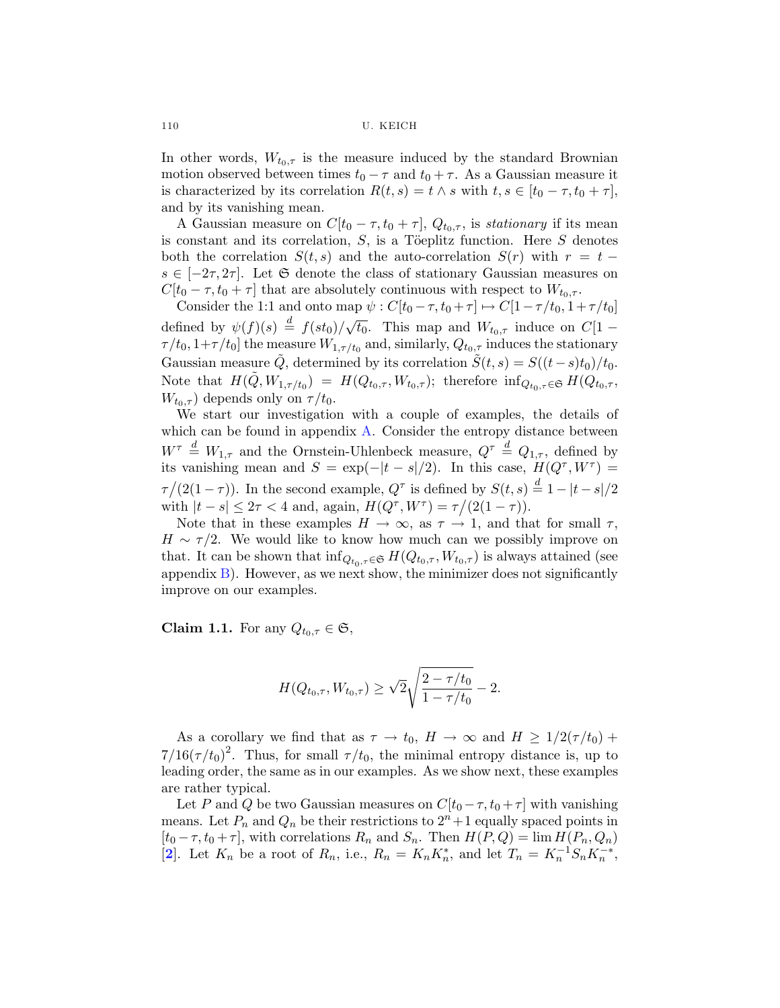<span id="page-1-0"></span>In other words,  $W_{t_0,\tau}$  is the measure induced by the standard Brownian motion observed between times  $t_0 - \tau$  and  $t_0 + \tau$ . As a Gaussian measure it is characterized by its correlation  $R(t, s) = t \wedge s$  with  $t, s \in [t_0 - \tau, t_0 + \tau]$ , and by its vanishing mean.

A Gaussian measure on  $C[t_0 - \tau, t_0 + \tau]$ ,  $Q_{t_0, \tau}$ , is stationary if its mean is constant and its correlation,  $S$ , is a Töeplitz function. Here  $S$  denotes both the correlation  $S(t, s)$  and the auto-correlation  $S(r)$  with  $r = t$  $s \in [-2\tau, 2\tau]$ . Let G denote the class of stationary Gaussian measures on  $C[t_0 - \tau, t_0 + \tau]$  that are absolutely continuous with respect to  $W_{t_0, \tau}$ .

Consider the 1:1 and onto map  $\psi : C[t_0 - \tau, t_0 + \tau] \mapsto C[1 - \tau/t_0, 1 + \tau/t_0]$ defined by  $\psi(f)(s) \stackrel{d}{=} f(st_0)/\sqrt{t_0}$ . This map and  $W_{t_0,\tau}$  induce on  $C[1-\tau]$  $\tau/t_0$ ,  $1+\tau/t_0$ ] the measure  $W_{1,\tau/t_0}$  and, similarly,  $Q_{t_0,\tau}$  induces the stationary Gaussian measure Q, determined by its correlation  $S(t, s) = S((t-s)t_0)/t_0$ . Note that  $H(\tilde{Q}, W_{1,\tau/t_0}) = H(Q_{t_0,\tau}, W_{t_0,\tau});$  therefore  $\inf_{Q_{t_0,\tau} \in \mathfrak{S}} H(Q_{t_0,\tau})$  $W_{t_0,\tau}$  depends only on  $\tau/t_0$ .

We start our investigation with a couple of examples, the details of which can be found in appendix [A.](#page-15-0) Consider the entropy distance between  $W^{\tau} \triangleq W_{1,\tau}$  and the Ornstein-Uhlenbeck measure,  $Q^{\tau} \triangleq Q_{1,\tau}$ , defined by its vanishing mean and  $S = \exp(-|t - s|/2)$ . In this case,  $H(Q^{\tau}, W^{\tau}) =$  $\tau/(2(1-\tau))$ . In the second example,  $Q^{\tau}$  is defined by  $S(t,s) \stackrel{d}{=} 1 - |t-s|/2$ with  $|t - s| \leq 2\tau < 4$  and, again,  $H(Q^{\tau}, W^{\tau}) = \tau/(2(1 - \tau)).$ 

Note that in these examples  $H \to \infty$ , as  $\tau \to 1$ , and that for small  $\tau$ ,  $H \sim \tau/2$ . We would like to know how much can we possibly improve on that. It can be shown that  $\inf_{Q_{t_0,\tau} \in \mathfrak{S}} H(Q_{t_0,\tau}, W_{t_0,\tau})$  is always attained (see appendix  $B$ ). However, as we next show, the minimizer does not significantly improve on our examples.

**Claim 1.1.** For any  $Q_{t_0, \tau} \in \mathfrak{S}$ ,

$$
H(Q_{t_0,\tau}, W_{t_0,\tau}) \ge \sqrt{2}\sqrt{\frac{2-\tau/t_0}{1-\tau/t_0}} - 2.
$$

As a corollary we find that as  $\tau \to t_0$ ,  $H \to \infty$  and  $H \geq 1/2(\tau/t_0)$  +  $7/16(\tau/t_0)^2$ . Thus, for small  $\tau/t_0$ , the minimal entropy distance is, up to leading order, the same as in our examples. As we show next, these examples are rather typical.

Let P and Q be two Gaussian measures on  $C[t_0 - \tau, t_0 + \tau]$  with vanishing means. Let  $P_n$  and  $Q_n$  be their restrictions to  $2^n + 1$  equally spaced points in  $[t_0 - \tau, t_0 + \tau]$ , with correlations  $R_n$  and  $S_n$ . Then  $H(P, Q) = \lim H(P_n, Q_n)$ [[2](#page-19-0)]. Let  $K_n$  be a root of  $R_n$ , i.e.,  $R_n = K_n K_n^*$ , and let  $T_n = K_n^{-1} S_n K_n^{-*}$ ,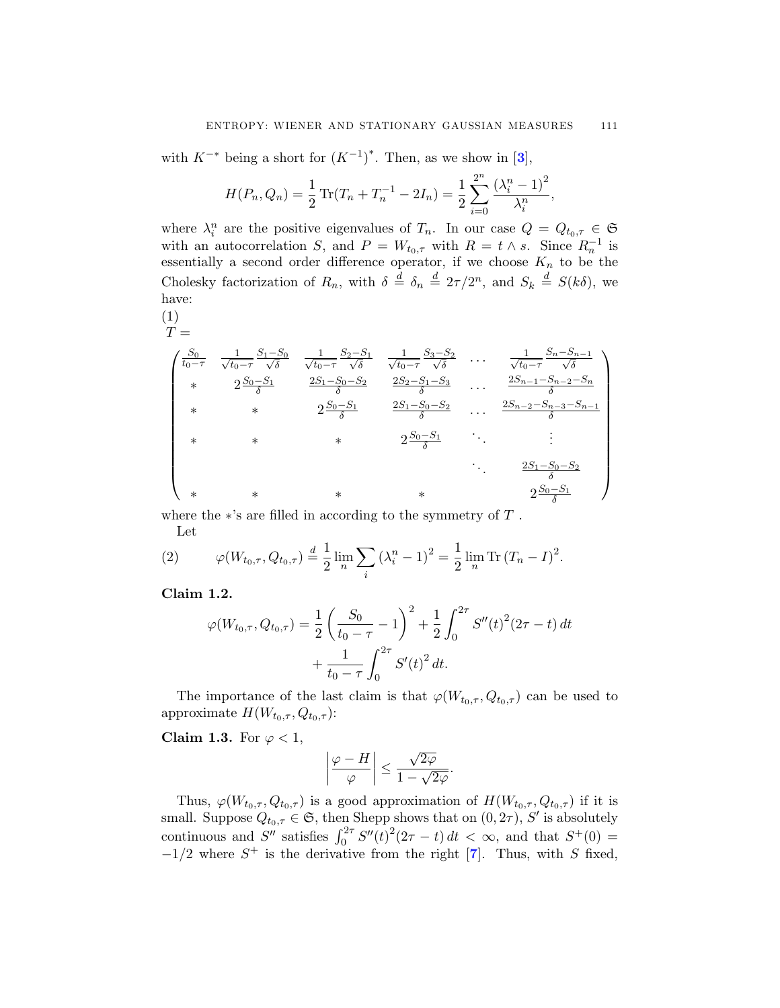<span id="page-2-0"></span>with  $K^{-*}$  being a short for  $(K^{-1})^*$ . Then, as we show in [[3](#page-19-0)],

$$
H(P_n, Q_n) = \frac{1}{2} \operatorname{Tr} (T_n + T_n^{-1} - 2I_n) = \frac{1}{2} \sum_{i=0}^{2^n} \frac{(\lambda_i^n - 1)^2}{\lambda_i^n},
$$

where  $\lambda_i^n$  are the positive eigenvalues of  $T_n$ . In our case  $Q = Q_{t_0, \tau} \in \mathfrak{S}$ with an autocorrelation S, and  $P = W_{t_0,\tau}$  with  $R = t \wedge s$ . Since  $R_n^{-1}$  is essentially a second order difference operator, if we choose  $K_n$  to be the Cholesky factorization of  $R_n$ , with  $\delta \stackrel{d}{=} \delta_n \stackrel{d}{=} 2\tau/2^n$ , and  $S_k \stackrel{d}{=} S(k\delta)$ , we have:

 $T =$ (1)

$$
\begin{pmatrix}\n\frac{S_0}{t_0 - \tau} & \frac{1}{\sqrt{t_0 - \tau}} \frac{S_1 - S_0}{\sqrt{\delta}} & \frac{1}{\sqrt{t_0 - \tau}} \frac{S_2 - S_1}{\sqrt{\delta}} & \frac{1}{\sqrt{t_0 - \tau}} \frac{S_3 - S_2}{\sqrt{\delta}} & \cdots & \frac{1}{\sqrt{t_0 - \tau}} \frac{S_n - S_{n-1}}{\sqrt{\delta}} \\
* & 2 \frac{S_0 - S_1}{\delta} & \frac{2S_1 - S_0 - S_2}{\delta} & \frac{2S_2 - S_1 - S_3}{\delta} & \cdots & \frac{2S_{n-1} - S_{n-2} - S_n}{\delta} \\
* & * & 2 \frac{S_0 - S_1}{\delta} & \frac{2S_1 - S_0 - S_2}{\delta} & \cdots & \frac{2S_{n-2} - S_{n-3} - S_{n-1}}{\delta} \\
* & * & * & 2 \frac{S_0 - S_1}{\delta} & \cdots & \vdots \\
* & * & * & * & 2 \frac{S_1 - S_0 - S_2}{\delta} \\
* & * & * & * & 2 \frac{S_0 - S_1}{\delta}\n\end{pmatrix}
$$

where the  $*$ 's are filled in according to the symmetry of  $T$ .

Let  
(2) 
$$
\varphi(W_{t_0,\tau}, Q_{t_0,\tau}) \stackrel{d}{=} \frac{1}{2} \lim_n \sum_i (\lambda_i^n - 1)^2 = \frac{1}{2} \lim_n \text{Tr} (T_n - I)^2.
$$

**Claim 1.2.**

$$
\varphi(W_{t_0,\tau}, Q_{t_0,\tau}) = \frac{1}{2} \left( \frac{S_0}{t_0 - \tau} - 1 \right)^2 + \frac{1}{2} \int_0^{2\tau} S''(t)^2 (2\tau - t) dt + \frac{1}{t_0 - \tau} \int_0^{2\tau} S'(t)^2 dt.
$$

The importance of the last claim is that  $\varphi(W_{t_0,\tau}, Q_{t_0,\tau})$  can be used to approximate  $H(W_{t_0,\tau}, Q_{t_0,\tau})$ :

**Claim 1.3.** For  $\varphi < 1$ ,

$$
\left|\frac{\varphi - H}{\varphi}\right| \le \frac{\sqrt{2\varphi}}{1 - \sqrt{2\varphi}}.
$$

Thus,  $\varphi(W_{t_0,\tau}, Q_{t_0,\tau})$  is a good approximation of  $H(W_{t_0,\tau}, Q_{t_0,\tau})$  if it is small. Suppose  $Q_{t_0,\tau} \in \mathfrak{S}$ , then Shepp shows that on  $(0, 2\tau)$ , S' is absolutely continuous and  $S''$  satisfies  $\int_0^{2\tau} S''(t)^2(2\tau - t) dt < \infty$ , and that  $S^+(0) =$  $-1/2$  where  $S^+$  is the derivative from the right [**[7](#page-19-0)**]. Thus, with S fixed,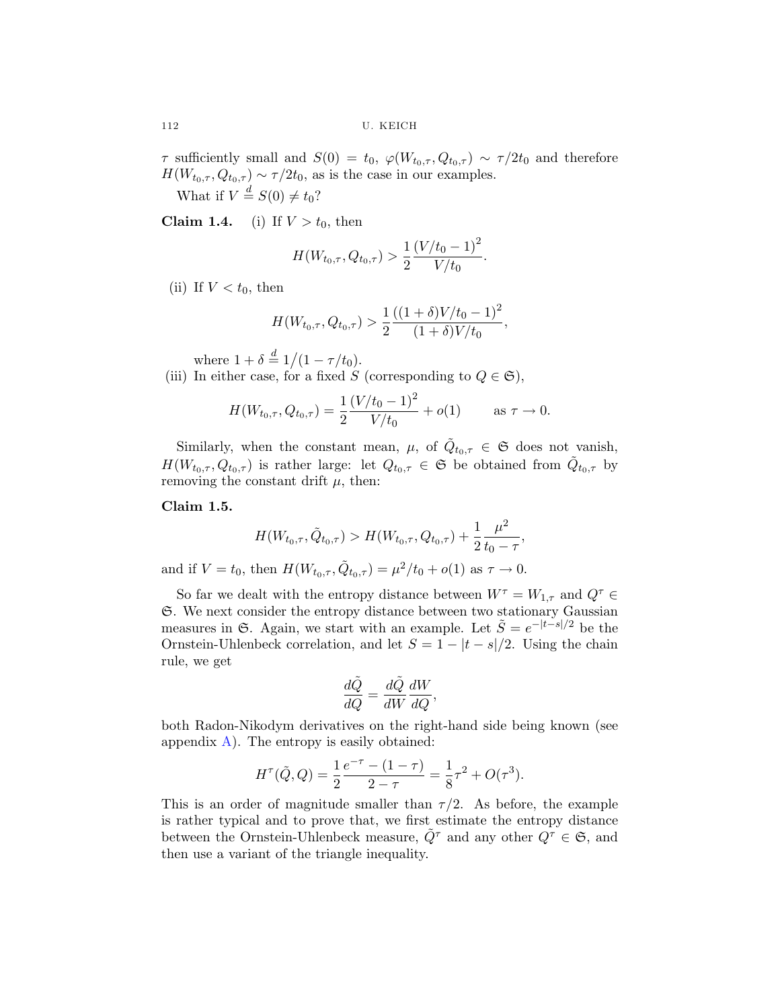<span id="page-3-0"></span> $\tau$  sufficiently small and  $S(0) = t_0$ ,  $\varphi(W_{t_0,\tau}, Q_{t_0,\tau}) \sim \tau/2t_0$  and therefore  $H(W_{t_0,\tau}, Q_{t_0,\tau}) \sim \tau/2t_0$ , as is the case in our examples.

What if  $V \stackrel{d}{=} S(0) \neq t_0$ ?

**Claim 1.4.** (i) If  $V > t_0$ , then

$$
H(W_{t_0,\tau}, Q_{t_0,\tau}) > \frac{1}{2} \frac{(V/t_0 - 1)^2}{V/t_0}.
$$

(ii) If  $V < t_0$ , then

$$
H(W_{t_0,\tau}, Q_{t_0,\tau}) > \frac{1}{2} \frac{((1+\delta)V/t_0 - 1)^2}{(1+\delta)V/t_0},
$$

where  $1 + \delta \stackrel{d}{=} 1/(1 - \tau/t_0)$ .

(iii) In either case, for a fixed S (corresponding to  $Q \in \mathfrak{S}$ ),

$$
H(W_{t_0,\tau}, Q_{t_0,\tau}) = \frac{1}{2} \frac{(V/t_0 - 1)^2}{V/t_0} + o(1) \quad \text{as } \tau \to 0.
$$

Similarly, when the constant mean,  $\mu$ , of  $Q_{t_0,\tau} \in \mathfrak{S}$  does not vanish,  $H(W_{t_0,\tau}, Q_{t_0,\tau})$  is rather large: let  $Q_{t_0,\tau} \in \mathfrak{S}$  be obtained from  $\tilde{Q}_{t_0,\tau}$  by removing the constant drift  $\mu$ , then:

**Claim 1.5.**

$$
H(W_{t_0,\tau}, \tilde{Q}_{t_0,\tau}) > H(W_{t_0,\tau}, Q_{t_0,\tau}) + \frac{1}{2} \frac{\mu^2}{t_0 - \tau},
$$

and if  $V = t_0$ , then  $H(W_{t_0,\tau}, \tilde{Q}_{t_0,\tau}) = \mu^2/t_0 + o(1)$  as  $\tau \to 0$ .

So far we dealt with the entropy distance between  $W^{\tau} = W_{1,\tau}$  and  $Q^{\tau} \in$ S. We next consider the entropy distance between two stationary Gaussian measures in G. Again, we start with an example. Let  $\tilde{S} = e^{-|t-s|/2}$  be the Ornstein-Uhlenbeck correlation, and let  $S = 1 - |t - s|/2$ . Using the chain rule, we get

$$
\frac{d\tilde{Q}}{dQ} = \frac{d\tilde{Q}}{dW}\frac{dW}{dQ},
$$

both Radon-Nikodym derivatives on the right-hand side being known (see appendix  $\bf{A}$  $\bf{A}$  $\bf{A}$ ). The entropy is easily obtained:

$$
H^{\tau}(\tilde{Q}, Q) = \frac{1}{2} \frac{e^{-\tau} - (1 - \tau)}{2 - \tau} = \frac{1}{8} \tau^2 + O(\tau^3).
$$

This is an order of magnitude smaller than  $\tau/2$ . As before, the example is rather typical and to prove that, we first estimate the entropy distance between the Ornstein-Uhlenbeck measure,  $Q^{\tau}$  and any other  $Q^{\tau} \in \mathfrak{S}$ , and then use a variant of the triangle inequality.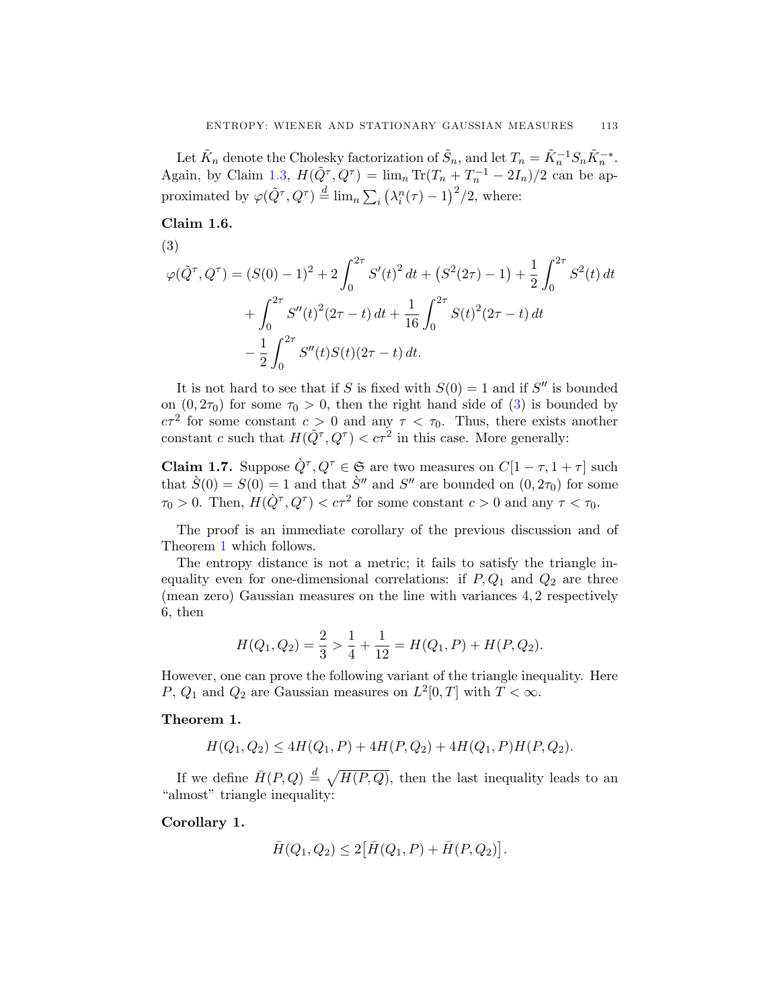<span id="page-4-0"></span>Let  $\tilde{K}_n$  denote the Cholesky factorization of  $\tilde{S}_n$ , and let  $T_n = \tilde{K}_n^{-1} S_n \tilde{K}_n^{-*}$ . Again, by Claim [1.3](#page-2-0),  $H(\tilde{Q}^{\tau}, Q^{\tau}) = \lim_{n} \text{Tr}(T_n + T_n^{-1} - 2I_n)/2$  can be approximated by  $\varphi(\tilde{Q}^{\tau}, Q^{\tau}) \stackrel{d}{=} \lim_{n} \sum_{i} (\lambda_i^n(\tau) - 1)^2/2$ , where:

**Claim 1.6.**

$$
(3)
$$

$$
\varphi(\tilde{Q}^{\tau}, Q^{\tau}) = (S(0) - 1)^2 + 2 \int_0^{2\tau} S'(t)^2 dt + (S^2(2\tau) - 1) + \frac{1}{2} \int_0^{2\tau} S^2(t) dt
$$
  
+ 
$$
\int_0^{2\tau} S''(t)^2 (2\tau - t) dt + \frac{1}{16} \int_0^{2\tau} S(t)^2 (2\tau - t) dt
$$
  
- 
$$
\frac{1}{2} \int_0^{2\tau} S''(t) S(t) (2\tau - t) dt.
$$

It is not hard to see that if S is fixed with  $S(0) = 1$  and if S'' is bounded on  $(0, 2\tau_0)$  for some  $\tau_0 > 0$ , then the right hand side of  $(3)$  is bounded by  $c\tau^2$  for some constant  $c > 0$  and any  $\tau < \tau_0$ . Thus, there exists another constant c such that  $H(\tilde{Q}^{\tau}, Q^{\tau}) < c\tau^2$  in this case. More generally:

**Claim 1.7.** Suppose  $\hat{Q}^{\tau}, Q^{\tau} \in \mathfrak{S}$  are two measures on  $C[1 - \tau, 1 + \tau]$  such that  $\hat{S}(0) = S(0) = 1$  and that  $\hat{S}''$  and  $S''$  are bounded on  $(0, 2\tau_0)$  for some  $\tau_0 > 0$ . Then,  $H(\dot{Q}^\tau, Q^\tau) < c\tau^2$  for some constant  $c > 0$  and any  $\tau < \tau_0$ .

The proof is an immediate corollary of the previous discussion and of Theorem 1 which follows.

The entropy distance is not a metric; it fails to satisfy the triangle inequality even for one-dimensional correlations: if  $P, Q_1$  and  $Q_2$  are three (mean zero) Gaussian measures on the line with variances 4, 2 respectively 6, then

$$
H(Q_1, Q_2) = \frac{2}{3} > \frac{1}{4} + \frac{1}{12} = H(Q_1, P) + H(P, Q_2).
$$

However, one can prove the following variant of the triangle inequality. Here P,  $Q_1$  and  $Q_2$  are Gaussian measures on  $L^2[0,T]$  with  $T < \infty$ .

## **Theorem 1.**

$$
H(Q_1, Q_2) \le 4H(Q_1, P) + 4H(P, Q_2) + 4H(Q_1, P)H(P, Q_2).
$$

If we define  $\bar{H}(P,Q) \stackrel{d}{=} \sqrt{H(P,Q)}$ , then the last inequality leads to an "almost" triangle inequality:

**Corollary 1.**

$$
\bar{H}(Q_1, Q_2) \le 2 [\bar{H}(Q_1, P) + \bar{H}(P, Q_2)].
$$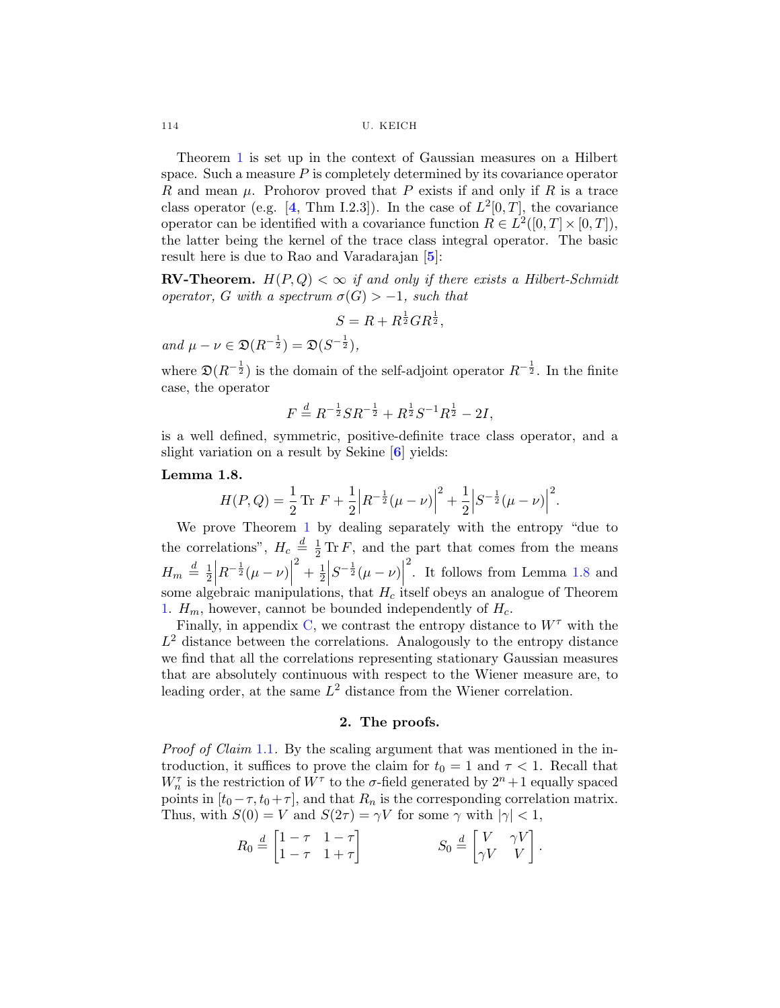Theorem [1](#page-4-0) is set up in the context of Gaussian measures on a Hilbert space. Such a measure  $P$  is completely determined by its covariance operator R and mean  $\mu$ . Prohorov proved that P exists if and only if R is a trace class operator (e.g. [[4](#page-19-0), Thm I.2.3]). In the case of  $L^2[0,T]$ , the covariance operator can be identified with a covariance function  $R \in L^2([0, T] \times [0, T])$ , the latter being the kernel of the trace class integral operator. The basic result here is due to Rao and Varadarajan [**[5](#page-19-0)**]:

**RV-Theorem.**  $H(P,Q) < \infty$  if and only if there exists a Hilbert-Schmidt operator, G with a spectrum  $\sigma(G) > -1$ , such that

$$
S = R + R^{\frac{1}{2}}GR^{\frac{1}{2}},
$$

and  $\mu - \nu \in \mathfrak{D}(R^{-\frac{1}{2}}) = \mathfrak{D}(S^{-\frac{1}{2}}),$ 

where  $\mathfrak{D}(R^{-\frac{1}{2}})$  is the domain of the self-adjoint operator  $R^{-\frac{1}{2}}$ . In the finite case, the operator

$$
F \stackrel{d}{=} R^{-\frac{1}{2}} S R^{-\frac{1}{2}} + R^{\frac{1}{2}} S^{-1} R^{\frac{1}{2}} - 2I,
$$

is a well defined, symmetric, positive-definite trace class operator, and a slight variation on a result by Sekine [**[6](#page-19-0)**] yields:

#### **Lemma 1.8.**

$$
H(P,Q) = \frac{1}{2} \operatorname{Tr} F + \frac{1}{2} \left| R^{-\frac{1}{2}} (\mu - \nu) \right|^2 + \frac{1}{2} \left| S^{-\frac{1}{2}} (\mu - \nu) \right|^2.
$$

We prove Theorem [1](#page-4-0) by dealing separately with the entropy "due to the correlations",  $H_c \stackrel{d}{=} \frac{1}{2} \text{Tr} F$ , and the part that comes from the means  $H_m \stackrel{d}{=} \frac{1}{2}$  $R^{-\frac{1}{2}}(\mu - \nu)$  $\left.\frac{2}{2} + \frac{1}{2}\right|$  $S^{-\frac{1}{2}}(\mu - \nu)$  $\frac{2}{1}$ . It follows from Lemma 1.8 and some algebraic manipulations, that  $H_c$  itself obeys an analogue of Theorem [1](#page-4-0).  $H_m$ , however, cannot be bounded independently of  $H_c$ .

Finally, in appendix [C,](#page-18-0) we contrast the entropy distance to  $W^{\tau}$  with the  $L^2$  distance between the correlations. Analogously to the entropy distance we find that all the correlations representing stationary Gaussian measures that are absolutely continuous with respect to the Wiener measure are, to leading order, at the same  $L^2$  distance from the Wiener correlation.

### **2. The proofs.**

Proof of Claim [1.1](#page-1-0). By the scaling argument that was mentioned in the introduction, it suffices to prove the claim for  $t_0 = 1$  and  $\tau < 1$ . Recall that  $W_n^{\tau}$  is the restriction of  $W^{\tau}$  to the  $\sigma\text{-field}$  generated by  $2^n+1$  equally spaced points in  $[t_0-\tau, t_0+\tau]$ , and that  $R_n$  is the corresponding correlation matrix. Thus, with  $S(0) = V$  and  $S(2\tau) = \gamma V$  for some  $\gamma$  with  $|\gamma| < 1$ ,

$$
R_0 \stackrel{d}{=} \begin{bmatrix} 1 - \tau & 1 - \tau \\ 1 - \tau & 1 + \tau \end{bmatrix} \qquad S_0 \stackrel{d}{=} \begin{bmatrix} V & \gamma V \\ \gamma V & V \end{bmatrix}.
$$

<span id="page-5-0"></span>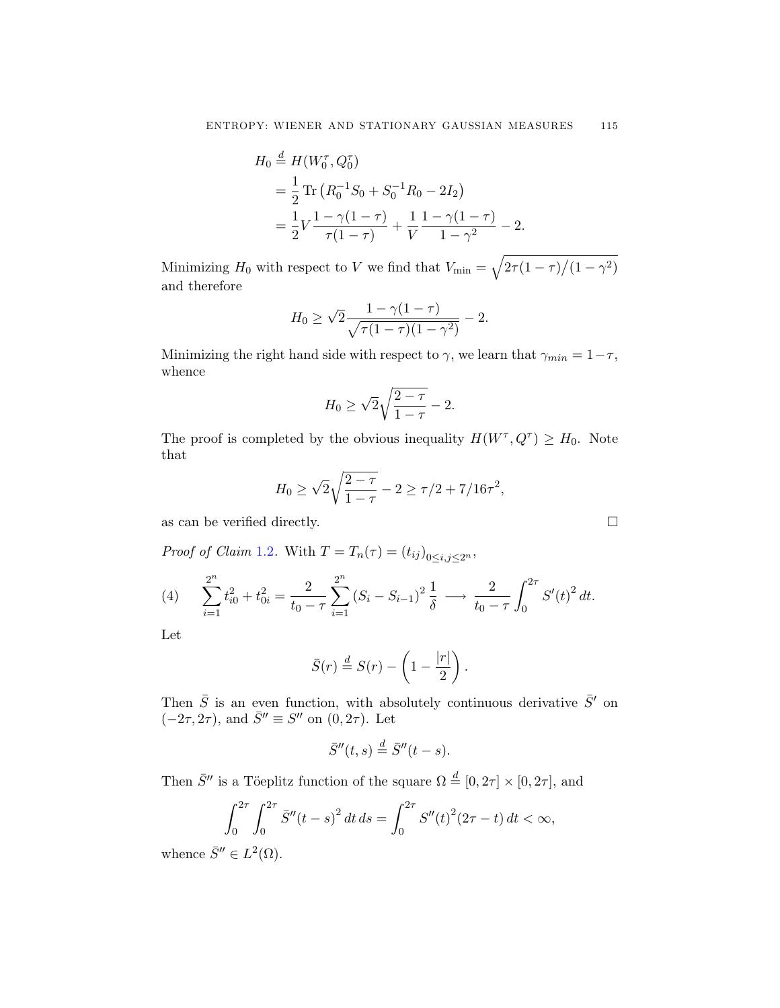<span id="page-6-0"></span>
$$
H_0 \stackrel{d}{=} H(W_0^{\tau}, Q_0^{\tau})
$$
  
=  $\frac{1}{2}$  Tr  $(R_0^{-1}S_0 + S_0^{-1}R_0 - 2I_2)$   
=  $\frac{1}{2}V \frac{1 - \gamma(1 - \tau)}{\tau(1 - \tau)} + \frac{1}{V} \frac{1 - \gamma(1 - \tau)}{1 - \gamma^2} - 2.$ 

Minimizing  $H_0$  with respect to V we find that  $V_{\text{min}} = \sqrt{2\tau(1-\tau)/(1-\gamma^2)}$ and therefore

$$
H_0 \ge \sqrt{2} \frac{1 - \gamma (1 - \tau)}{\sqrt{\tau (1 - \tau)(1 - \gamma^2)}} - 2.
$$

Minimizing the right hand side with respect to  $\gamma$ , we learn that  $\gamma_{min} = 1 - \tau$ , whence

$$
H_0 \ge \sqrt{2}\sqrt{\frac{2-\tau}{1-\tau}} - 2.
$$

The proof is completed by the obvious inequality  $H(W^{\tau}, Q^{\tau}) \geq H_0$ . Note that

$$
H_0 \ge \sqrt{2\sqrt{\frac{2-\tau}{1-\tau}}} - 2 \ge \frac{\tau}{2} + \frac{7}{16\tau^2},
$$

as can be verified directly.  $\Box$ 

Proof of Claim [1.2](#page-2-0). With  $T = T_n(\tau) = (t_{ij})_{0 \le i,j \le 2^n}$ ,

(4) 
$$
\sum_{i=1}^{2^n} t_{i0}^2 + t_{0i}^2 = \frac{2}{t_0 - \tau} \sum_{i=1}^{2^n} (S_i - S_{i-1})^2 \frac{1}{\delta} \longrightarrow \frac{2}{t_0 - \tau} \int_0^{2\tau} S'(t)^2 dt.
$$

Let

$$
\bar{S}(r) \stackrel{d}{=} S(r) - \left(1 - \frac{|r|}{2}\right).
$$

Then  $\bar{S}$  is an even function, with absolutely continuous derivative  $\bar{S}'$  on  $(-2\tau, 2\tau)$ , and  $\bar{S}'' \equiv S''$  on  $(0, 2\tau)$ . Let

$$
\bar{S}''(t,s) \stackrel{d}{=} \bar{S}''(t-s).
$$

Then  $\bar{S}''$  is a Töeplitz function of the square  $\Omega \stackrel{d}{=} [0, 2\tau] \times [0, 2\tau]$ , and

$$
\int_0^{2\tau} \int_0^{2\tau} \bar{S}''(t-s)^2 dt ds = \int_0^{2\tau} S''(t)^2 (2\tau - t) dt < \infty,
$$

whence  $\bar{S}^{\prime\prime} \in L^2(\Omega)$ .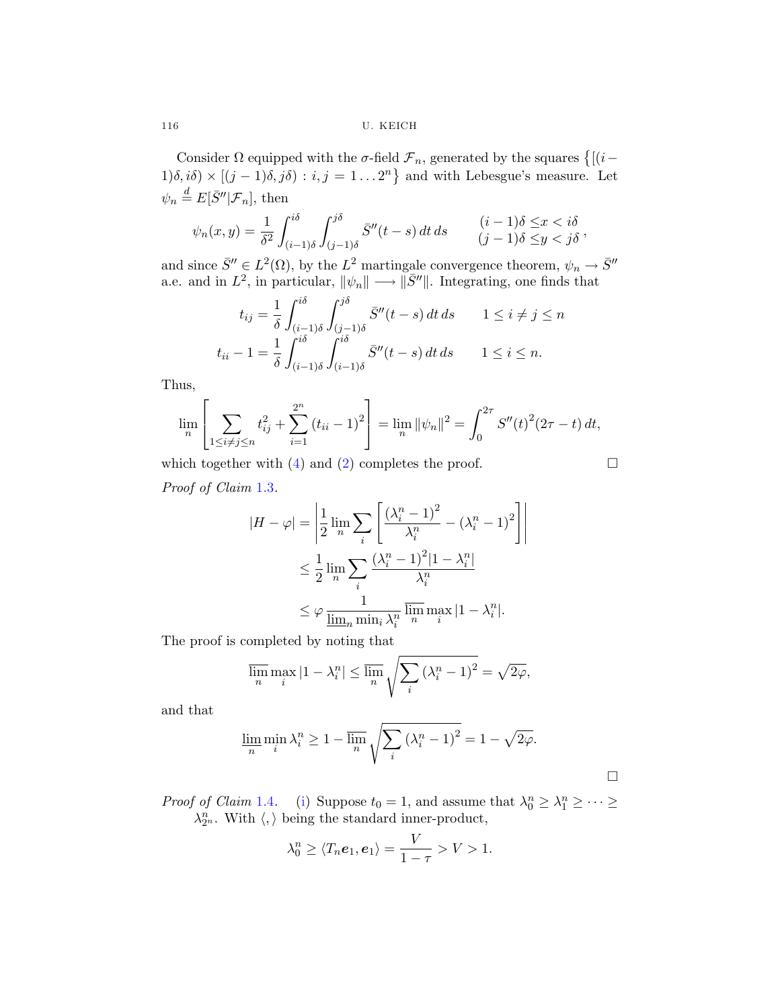Consider  $\Omega$  equipped with the  $\sigma$ -field  $\mathcal{F}_n$ , generated by the squares  $\{[(i-\sigma)^2]$  $1)\delta$ ,  $i\delta$ ) ×  $[(j-1)\delta, j\delta) : i, j = 1...2^n$  and with Lebesgue's measure. Let  $\psi_n \stackrel{d}{=} E[\bar{S}'' | \mathcal{F}_n],$  then

$$
\psi_n(x,y) = \frac{1}{\delta^2} \int_{(i-1)\delta}^{i\delta} \int_{(j-1)\delta}^{j\delta} \bar{S}''(t-s) dt ds \qquad (i-1)\delta \le x < i\delta
$$
  

$$
(j-1)\delta \le y < j\delta
$$

and since  $\bar{S}'' \in L^2(\Omega)$ , by the  $L^2$  martingale convergence theorem,  $\psi_n \to \bar{S}''$ a.e. and in  $L^2$ , in particular,  $\|\psi_n\| \longrightarrow \|\bar{S}^{\prime\prime}\|$ . Integrating, one finds that

$$
t_{ij} = \frac{1}{\delta} \int_{(i-1)\delta}^{i\delta} \int_{(j-1)\delta}^{j\delta} \bar{S}''(t-s) dt ds \qquad 1 \le i \ne j \le n
$$
  

$$
t_{ii} - 1 = \frac{1}{\delta} \int_{(i-1)\delta}^{i\delta} \int_{(i-1)\delta}^{i\delta} \bar{S}''(t-s) dt ds \qquad 1 \le i \le n.
$$

Thus,

$$
\lim_{n} \left[ \sum_{1 \le i \ne j \le n} t_{ij}^{2} + \sum_{i=1}^{2^{n}} (t_{ii} - 1)^{2} \right] = \lim_{n} ||\psi_{n}||^{2} = \int_{0}^{2\tau} S''(t)^{2} (2\tau - t) dt,
$$

which together with [\(4](#page-6-0)) and ([2](#page-2-0)) completes the proof.  $\Box$ 

 $\Box$ 

 $\Big\}$  $\bigg\}$  $\Big\}$  $\begin{array}{c} \end{array}$ 

Proof of Claim [1.3](#page-2-0).

$$
|H - \varphi| = \left| \frac{1}{2} \lim_{n} \sum_{i} \left[ \frac{(\lambda_i^n - 1)^2}{\lambda_i^n} - (\lambda_i^n - 1)^2 \right] \right|
$$
  

$$
\leq \frac{1}{2} \lim_{n} \sum_{i} \frac{(\lambda_i^n - 1)^2 |1 - \lambda_i^n|}{\lambda_i^n}
$$
  

$$
\leq \varphi \frac{1}{\underline{\lim_{n} \min_{i} \lambda_i^n} \overline{\lim_{n} \max_{i} |1 - \lambda_i^n|}.
$$

The proof is completed by noting that

$$
\overline{\lim_{n}} \max_{i} |1 - \lambda_i^n| \le \overline{\lim_{n}} \sqrt{\sum_{i} (\lambda_i^n - 1)^2} = \sqrt{2\varphi},
$$

and that

$$
\lim_{n} \min_{i} \lambda_i^n \ge 1 - \overline{\lim}_{n} \sqrt{\sum_{i} (\lambda_i^n - 1)^2} = 1 - \sqrt{2\varphi}.
$$

*Proof of Claim* [1.4](#page-3-0). ([i\)](#page-3-0) Suppose  $t_0 = 1$ , and assume that  $\lambda_0^n \geq \lambda_1^n \geq \cdots \geq$  $\lambda_{2^n}^n$ . With  $\langle,\rangle$  being the standard inner-product,

$$
\lambda_0^n \geq \langle T_n e_1, e_1 \rangle = \frac{V}{1-\tau} > V > 1.
$$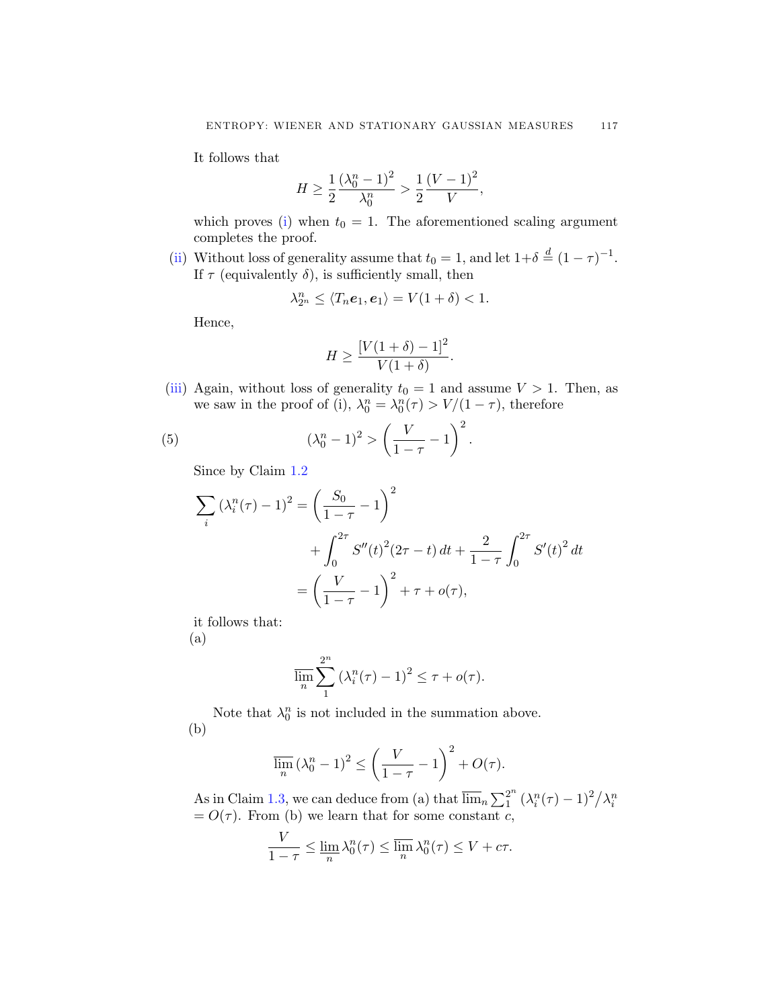It follows that

$$
H \ge \frac{1}{2} \frac{(\lambda_0^n - 1)^2}{\lambda_0^n} > \frac{1}{2} \frac{(V - 1)^2}{V},
$$

which proves ([i\)](#page-3-0) when  $t_0 = 1$ . The aforementioned scaling argument completes the proof.

([ii\)](#page-3-0) Without loss of generality assume that  $t_0 = 1$ , and let  $1+\delta \stackrel{d}{=} (1-\tau)^{-1}$ . If  $\tau$  (equivalently  $\delta$ ), is sufficiently small, then

$$
\lambda_{2^n}^n \le \langle T_n \mathbf{e}_1, \mathbf{e}_1 \rangle = V(1+\delta) < 1.
$$

Hence,

$$
H \ge \frac{\left[V(1+\delta) - 1\right]^2}{V(1+\delta)}.
$$

([iii\)](#page-3-0) Again, without loss of generality  $t_0 = 1$  and assume  $V > 1$ . Then, as we saw in the proof of (i),  $\lambda_0^n = \lambda_0^n(\tau) > V/(1 - \tau)$ , therefore

(5) 
$$
(\lambda_0^n - 1)^2 > \left(\frac{V}{1 - \tau} - 1\right)^2.
$$

Since by Claim [1.2](#page-2-0)

$$
\sum_{i} (\lambda_i^n(\tau) - 1)^2 = \left(\frac{S_0}{1 - \tau} - 1\right)^2
$$
  
+ 
$$
\int_0^{2\tau} S''(t)^2 (2\tau - t) dt + \frac{2}{1 - \tau} \int_0^{2\tau} S'(t)^2 dt
$$
  
= 
$$
\left(\frac{V}{1 - \tau} - 1\right)^2 + \tau + o(\tau),
$$

it follows that:

(a)

$$
\overline{\lim_{n}} \sum_{1}^{2^{n}} \left(\lambda_i^{n}(\tau) - 1\right)^{2} \leq \tau + o(\tau).
$$

Note that  $\lambda_0^n$  is not included in the summation above. (b)

$$
\overline{\lim}_{n} \left(\lambda_0^n - 1\right)^2 \le \left(\frac{V}{1-\tau} - 1\right)^2 + O(\tau).
$$

As in Claim [1.3,](#page-2-0) we can deduce from (a) that  $\overline{\lim}_n \sum_1^{2^n} (\lambda_i^n(\tau) - 1)^2 / \lambda_i^n$ <br>=  $O(\tau)$ . From (b) we learn that for some constant c,

$$
\frac{V}{1-\tau} \le \lim_{n} \lambda_0^n(\tau) \le \overline{\lim}_{n} \lambda_0^n(\tau) \le V + c\tau.
$$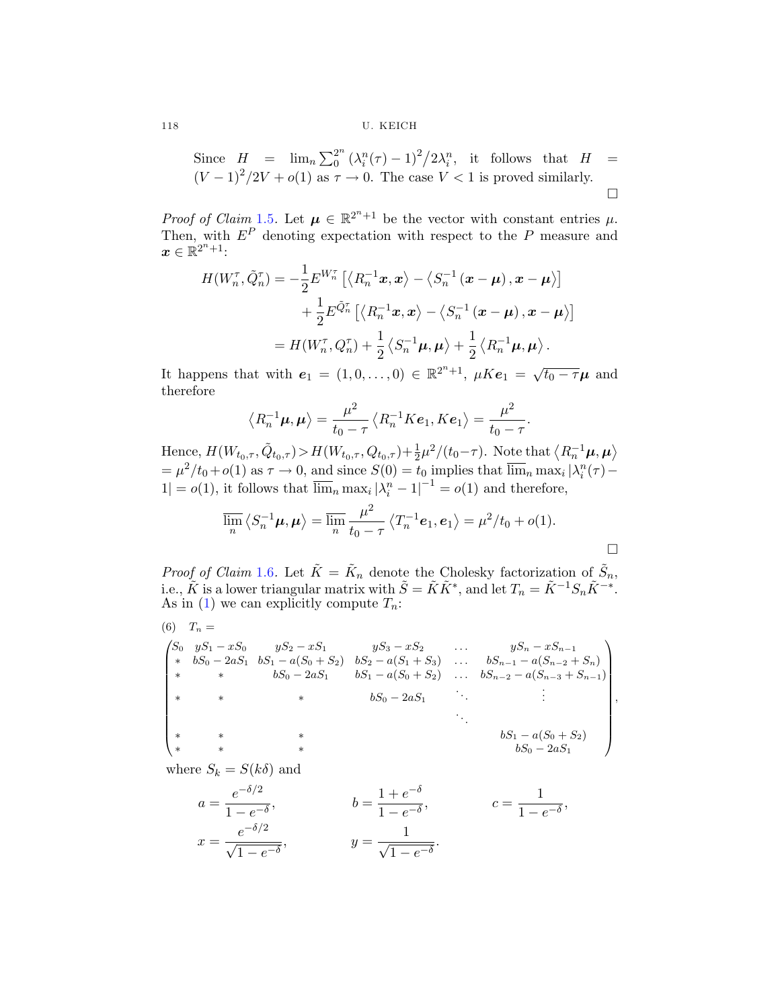Since 
$$
H = \lim_{n \to \infty} \sum_{0}^{2^n} (\lambda_i^n (\tau) - 1)^2 / 2 \lambda_i^n
$$
, it follows that  $H = (V - 1)^2 / 2V + o(1)$  as  $\tau \to 0$ . The case  $V < 1$  is proved similarly.

*Proof of Claim* [1.5](#page-3-0). Let  $\mu \in \mathbb{R}^{2^{n}+1}$  be the vector with constant entries  $\mu$ . Then, with  $E^P$  denoting expectation with respect to the P measure and  $x \in \mathbb{R}^{2^n+1}$ :

$$
H(W_n^{\tau}, \tilde{Q}_n^{\tau}) = -\frac{1}{2} E^{W_n^{\tau}} \left[ \langle R_n^{-1} x, x \rangle - \langle S_n^{-1} (x - \mu), x - \mu \rangle \right] + \frac{1}{2} E^{\tilde{Q}_n^{\tau}} \left[ \langle R_n^{-1} x, x \rangle - \langle S_n^{-1} (x - \mu), x - \mu \rangle \right] = H(W_n^{\tau}, Q_n^{\tau}) + \frac{1}{2} \langle S_n^{-1} \mu, \mu \rangle + \frac{1}{2} \langle R_n^{-1} \mu, \mu \rangle.
$$

It happens that with  $e_1 = (1, 0, \ldots, 0) \in \mathbb{R}^{2^n+1}$ ,  $\mu Ke_1 = \sqrt{t_0 - \tau} \mu$  and therefore

$$
\langle R_n^{-1}\boldsymbol{\mu}, \boldsymbol{\mu} \rangle = \frac{\mu^2}{t_0 - \tau} \langle R_n^{-1} K \boldsymbol{e}_1, K \boldsymbol{e}_1 \rangle = \frac{\mu^2}{t_0 - \tau}.
$$

Hence,  $H(W_{t_0,\tau}, \tilde{Q}_{t_0,\tau}) > H(W_{t_0,\tau}, Q_{t_0,\tau}) + \frac{1}{2}\mu^2/(t_0-\tau)$ . Note that  $\langle R_n^{-1}\mu, \mu \rangle$  $= \mu^2/t_0 + o(1)$  as  $\tau \to 0$ , and since  $S(0) = t_0$  implies that  $\overline{\lim}_n \max_i |\lambda_i^n(\tau) 1| = o(1)$ , it follows that  $\overline{\lim}_n \max_i |\lambda_i^n - 1|^{-1} = o(1)$  and therefore,

$$
\overline{\lim}_{n} \langle S_n^{-1} \mu, \mu \rangle = \overline{\lim}_{n} \frac{\mu^2}{t_0 - \tau} \langle T_n^{-1} e_1, e_1 \rangle = \mu^2 / t_0 + o(1).
$$

*Proof of Claim* [1.6](#page-4-0). Let  $\tilde{K} = \tilde{K}_n$  denote the Cholesky factorization of  $\tilde{S}_n$ , i.e.,  $\tilde{K}$  is a lower triangular matrix with  $\tilde{S} = \tilde{K}\tilde{K}^*$ , and let  $T_n = \tilde{K}^{-1}S_n\tilde{K}^{-*}$ . As in ([1](#page-2-0)) we can explicitly compute  $T_n$ :

 $(6)$   $T_n =$ 

$$
\begin{pmatrix}\nS_0 & yS_1 - xS_0 & yS_2 - xS_1 & yS_3 - xS_2 & \dots & yS_n - xS_{n-1} \\
* & bS_0 - 2aS_1 & bS_1 - a(S_0 + S_2) & bS_2 - a(S_1 + S_3) & \dots & bS_{n-1} - a(S_{n-2} + S_n) \\
* & * & bS_0 - 2aS_1 & bS_1 - a(S_0 + S_2) & \dots & bS_{n-2} - a(S_{n-3} + S_{n-1}) \\
* & * & * & bS_0 - 2aS_1 & \dots & \vdots \\
* & * & * & * & bS_0 - 2aS_1\n\end{pmatrix},
$$
\n
$$
\begin{pmatrix}\nS_0 & yS_1 - xS_0 & \dots & yS_n - xS_{n-1} \\
* & * & * & S_0 - 2aS_1 \\
\vdots & \vdots & \vdots \\
* & * & * & bS_0 - 2aS_1\n\end{pmatrix},
$$

where  $S_k = S(k\delta)$  and

$$
a = \frac{e^{-\delta/2}}{1 - e^{-\delta}}, \qquad b = \frac{1 + e^{-\delta}}{1 - e^{-\delta}}, \qquad c = \frac{1}{1 - e^{-\delta}},
$$
  

$$
x = \frac{e^{-\delta/2}}{\sqrt{1 - e^{-\delta}}}, \qquad y = \frac{1}{\sqrt{1 - e^{-\delta}}}.
$$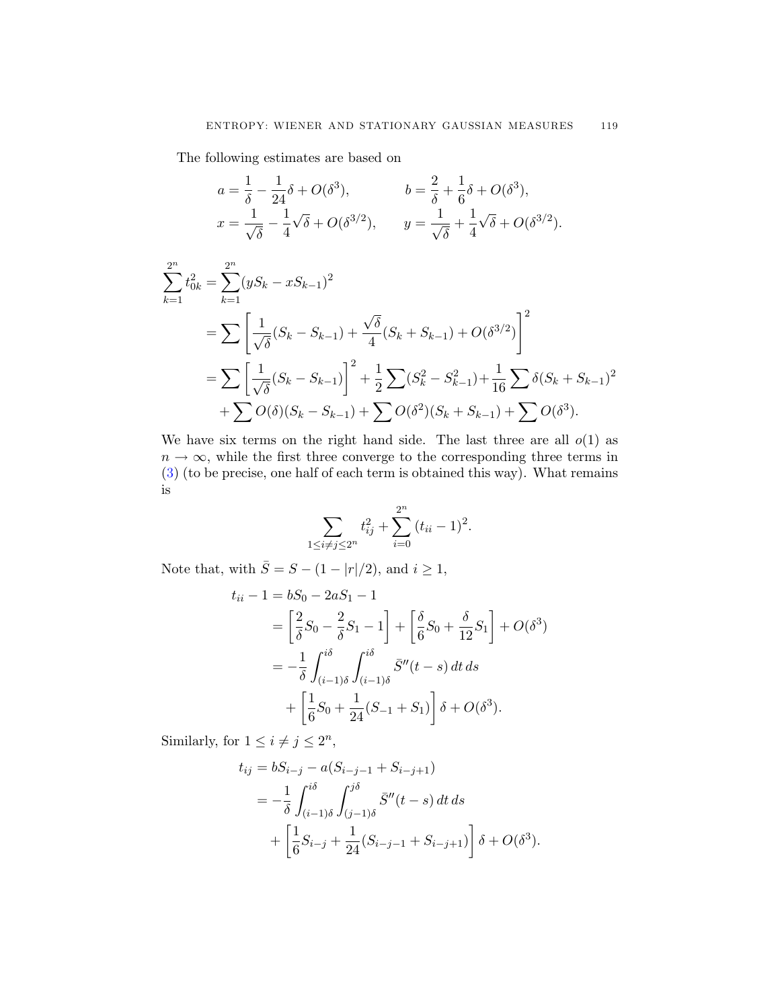The following estimates are based on

$$
a = \frac{1}{\delta} - \frac{1}{24}\delta + O(\delta^3), \qquad b = \frac{2}{\delta} + \frac{1}{6}\delta + O(\delta^3),
$$
  

$$
x = \frac{1}{\sqrt{\delta}} - \frac{1}{4}\sqrt{\delta} + O(\delta^{3/2}), \qquad y = \frac{1}{\sqrt{\delta}} + \frac{1}{4}\sqrt{\delta} + O(\delta^{3/2}).
$$

$$
\sum_{k=1}^{2^n} t_{0k}^2 = \sum_{k=1}^{2^n} (yS_k - xS_{k-1})^2
$$
  
= 
$$
\sum \left[ \frac{1}{\sqrt{\delta}} (S_k - S_{k-1}) + \frac{\sqrt{\delta}}{4} (S_k + S_{k-1}) + O(\delta^{3/2}) \right]^2
$$
  
= 
$$
\sum \left[ \frac{1}{\sqrt{\delta}} (S_k - S_{k-1}) \right]^2 + \frac{1}{2} \sum (S_k^2 - S_{k-1}^2) + \frac{1}{16} \sum \delta (S_k + S_{k-1})^2
$$
  
+ 
$$
\sum O(\delta)(S_k - S_{k-1}) + \sum O(\delta^2)(S_k + S_{k-1}) + \sum O(\delta^3).
$$

We have six terms on the right hand side. The last three are all  $o(1)$  as  $n \to \infty$ , while the first three converge to the corresponding three terms in ([3](#page-4-0)) (to be precise, one half of each term is obtained this way). What remains is

$$
\sum_{1 \le i \ne j \le 2^n} t_{ij}^2 + \sum_{i=0}^{2^n} (t_{ii} - 1)^2.
$$

Note that, with  $\bar{S}=S-(1-|r|/2),$  and  $i\geq 1,$ 

$$
t_{ii} - 1 = bS_0 - 2aS_1 - 1
$$
  
=  $\left[\frac{2}{\delta}S_0 - \frac{2}{\delta}S_1 - 1\right] + \left[\frac{\delta}{6}S_0 + \frac{\delta}{12}S_1\right] + O(\delta^3)$   
=  $-\frac{1}{\delta} \int_{(i-1)\delta}^{i\delta} \int_{(i-1)\delta}^{i\delta} \bar{S}''(t - s) dt ds$   
+  $\left[\frac{1}{6}S_0 + \frac{1}{24}(S_{-1} + S_1)\right] \delta + O(\delta^3).$ 

Similarly, for  $1 \leq i \neq j \leq 2^n$ ,

$$
t_{ij} = bS_{i-j} - a(S_{i-j-1} + S_{i-j+1})
$$
  
=  $-\frac{1}{\delta} \int_{(i-1)\delta}^{i\delta} \int_{(j-1)\delta}^{j\delta} \bar{S}''(t-s) dt ds$   
+  $\left[\frac{1}{6}S_{i-j} + \frac{1}{24}(S_{i-j-1} + S_{i-j+1})\right] \delta + O(\delta^3).$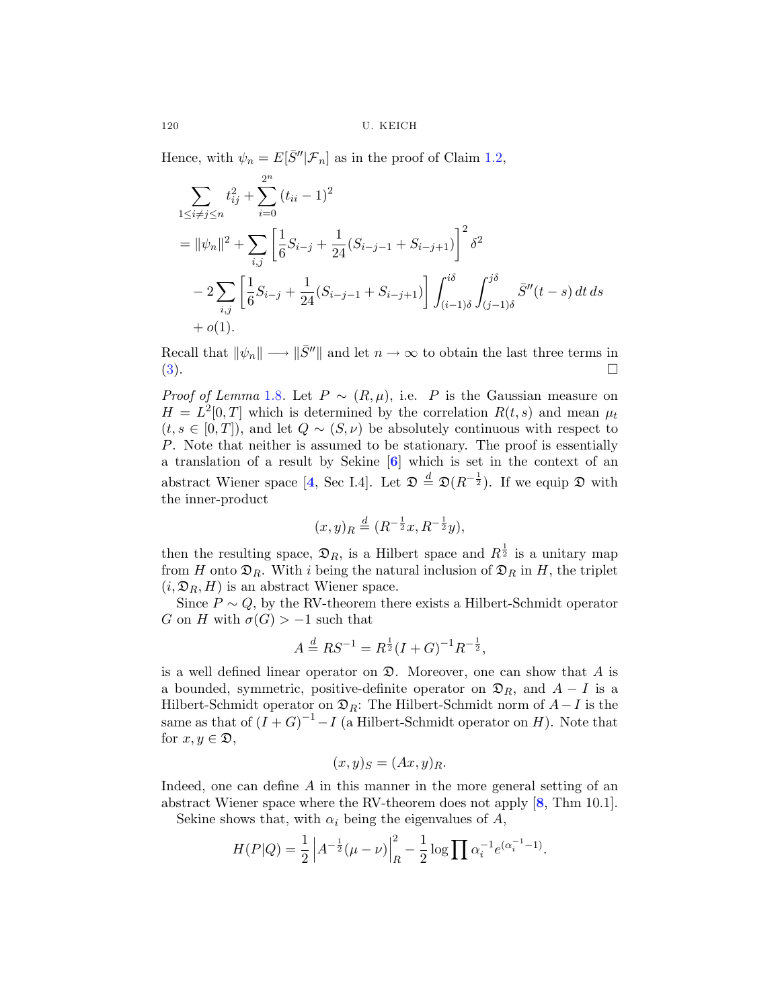Hence, with  $\psi_n = E[\bar{S}''|\mathcal{F}_n]$  as in the proof of Claim [1.2,](#page-2-0)

$$
\sum_{1 \le i \ne j \le n} t_{ij}^2 + \sum_{i=0}^{2^n} (t_{ii} - 1)^2
$$
\n
$$
= ||\psi_n||^2 + \sum_{i,j} \left[ \frac{1}{6} S_{i-j} + \frac{1}{24} (S_{i-j-1} + S_{i-j+1}) \right]^2 \delta^2
$$
\n
$$
- 2 \sum_{i,j} \left[ \frac{1}{6} S_{i-j} + \frac{1}{24} (S_{i-j-1} + S_{i-j+1}) \right] \int_{(i-1)\delta}^{i\delta} \int_{(j-1)\delta}^{j\delta} \bar{S}''(t-s) dt ds
$$
\n
$$
+ o(1).
$$

Recall that  $\|\psi_n\| \longrightarrow \|\bar{S}^{\prime\prime}\|$  and let  $n \to \infty$  to obtain the last three terms in  $(3)$  $(3)$  $(3)$ .

*Proof of Lemma* [1.8](#page-5-0). Let  $P \sim (R, \mu)$ , i.e. P is the Gaussian measure on  $H = L^2[0, T]$  which is determined by the correlation  $R(t, s)$  and mean  $\mu_t$  $(t, s \in [0, T])$ , and let  $Q \sim (S, \nu)$  be absolutely continuous with respect to P. Note that neither is assumed to be stationary. The proof is essentially a translation of a result by Sekine [**[6](#page-19-0)**] which is set in the context of an abstract Wiener space [[4](#page-19-0), Sec I.4]. Let  $\mathfrak{D} \stackrel{d}{=} \mathfrak{D}(R^{-\frac{1}{2}})$ . If we equip  $\mathfrak D$  with the inner-product

$$
(x,y)_R \stackrel{d}{=} (R^{-\frac{1}{2}}x, R^{-\frac{1}{2}}y),
$$

then the resulting space,  $\mathfrak{D}_R$ , is a Hilbert space and  $R^{\frac{1}{2}}$  is a unitary map from H onto  $\mathfrak{D}_R$ . With i being the natural inclusion of  $\mathfrak{D}_R$  in H, the triplet  $(i, \mathfrak{D}_R, H)$  is an abstract Wiener space.

Since  $P \sim Q$ , by the RV-theorem there exists a Hilbert-Schmidt operator G on H with  $\sigma(G) > -1$  such that

$$
A \stackrel{d}{=} RS^{-1} = R^{\frac{1}{2}}(I+G)^{-1}R^{-\frac{1}{2}},
$$

is a well defined linear operator on  $\mathfrak{D}$ . Moreover, one can show that A is a bounded, symmetric, positive-definite operator on  $\mathfrak{D}_R$ , and  $A - I$  is a Hilbert-Schmidt operator on  $\mathfrak{D}_R$ : The Hilbert-Schmidt norm of  $A-I$  is the same as that of  $(I+G)^{-1} - I$  (a Hilbert-Schmidt operator on H). Note that for  $x, y \in \mathfrak{D}$ ,

$$
(x, y)_S = (Ax, y)_R.
$$

Indeed, one can define A in this manner in the more general setting of an abstract Wiener space where the RV-theorem does not apply [**[8](#page-19-0)**, Thm 10.1].

Sekine shows that, with  $\alpha_i$  being the eigenvalues of A,

$$
H(P|Q) = \frac{1}{2} \left| A^{-\frac{1}{2}} (\mu - \nu) \right|_{R}^{2} - \frac{1}{2} \log \prod \alpha_{i}^{-1} e^{(\alpha_{i}^{-1} - 1)}.
$$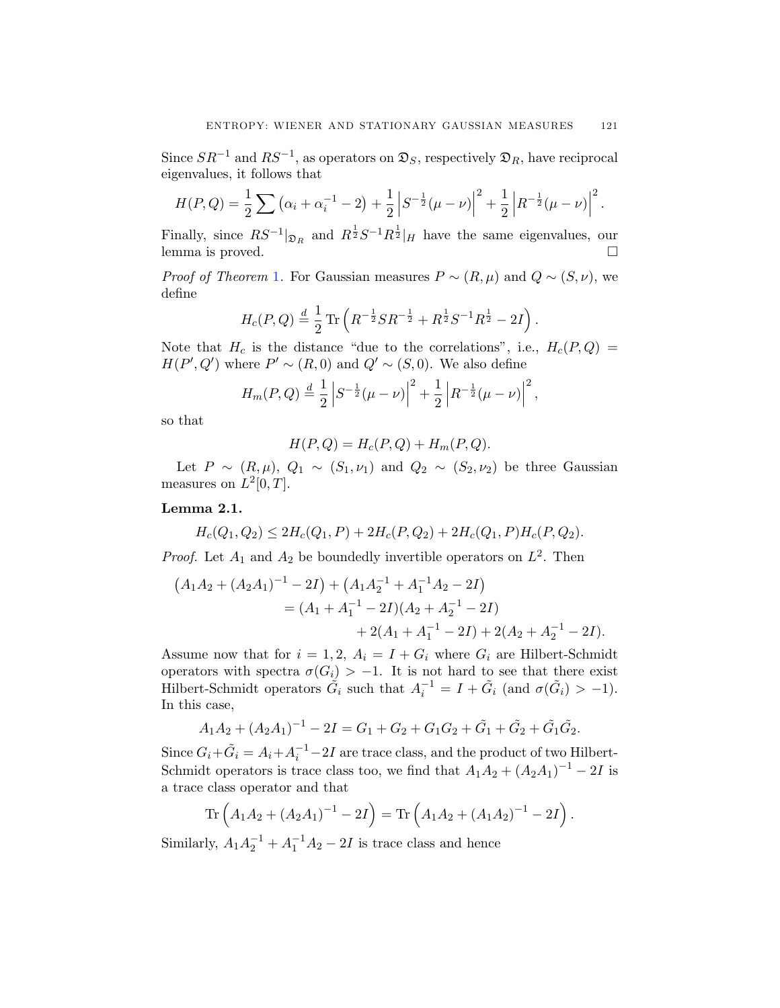Since  $SR^{-1}$  and  $RS^{-1}$ , as operators on  $\mathfrak{D}_S$ , respectively  $\mathfrak{D}_R$ , have reciprocal eigenvalues, it follows that

$$
H(P,Q) = \frac{1}{2}\sum (\alpha_i + \alpha_i^{-1} - 2) + \frac{1}{2}\left|S^{-\frac{1}{2}}(\mu - \nu)\right|^2 + \frac{1}{2}\left|R^{-\frac{1}{2}}(\mu - \nu)\right|^2.
$$

Finally, since  $RS^{-1}|_{\mathfrak{D}_R}$  and  $R^{\frac{1}{2}}S^{-1}R^{\frac{1}{2}}|_H$  have the same eigenvalues, our lemma is proved.

*Proof of Theorem* [1](#page-4-0). For Gaussian measures  $P \sim (R, \mu)$  and  $Q \sim (S, \nu)$ , we define

$$
H_c(P,Q) \stackrel{d}{=} \frac{1}{2} \text{Tr} \left( R^{-\frac{1}{2}} S R^{-\frac{1}{2}} + R^{\frac{1}{2}} S^{-1} R^{\frac{1}{2}} - 2I \right).
$$

Note that  $H_c$  is the distance "due to the correlations", i.e.,  $H_c(P,Q)$  =  $H(P', Q')$  where  $P' \sim (R, 0)$  and  $Q' \sim (S, 0)$ . We also define

$$
H_m(P,Q) \stackrel{d}{=} \frac{1}{2} \left| S^{-\frac{1}{2}}(\mu - \nu) \right|^2 + \frac{1}{2} \left| R^{-\frac{1}{2}}(\mu - \nu) \right|^2,
$$

so that

$$
H(P,Q) = H_c(P,Q) + H_m(P,Q).
$$

Let  $P \sim (R, \mu), Q_1 \sim (S_1, \nu_1)$  and  $Q_2 \sim (S_2, \nu_2)$  be three Gaussian measures on  $L^2[0, T]$ .

### **Lemma 2.1.**

$$
H_c(Q_1, Q_2) \le 2H_c(Q_1, P) + 2H_c(P, Q_2) + 2H_c(Q_1, P)H_c(P, Q_2).
$$

*Proof.* Let  $A_1$  and  $A_2$  be boundedly invertible operators on  $L^2$ . Then

$$
(A_1A_2 + (A_2A_1)^{-1} - 2I) + (A_1A_2^{-1} + A_1^{-1}A_2 - 2I)
$$
  
=  $(A_1 + A_1^{-1} - 2I)(A_2 + A_2^{-1} - 2I)$   
+  $2(A_1 + A_1^{-1} - 2I) + 2(A_2 + A_2^{-1} - 2I).$ 

Assume now that for  $i = 1, 2, A_i = I + G_i$  where  $G_i$  are Hilbert-Schmidt operators with spectra  $\sigma(G_i) > -1$ . It is not hard to see that there exist Hilbert-Schmidt operators  $\tilde{G}_i$  such that  $A_i^{-1} = I + \tilde{G}_i$  (and  $\sigma(\tilde{G}_i) > -1$ ). In this case,

$$
A_1A_2 + (A_2A_1)^{-1} - 2I = G_1 + G_2 + G_1G_2 + \tilde{G}_1 + \tilde{G}_2 + \tilde{G}_1\tilde{G}_2.
$$

Since  $G_i + \tilde{G}_i = A_i + A_i^{-1} - 2I$  are trace class, and the product of two Hilbert-Schmidt operators is trace class too, we find that  $A_1A_2 + (A_2A_1)^{-1} - 2I$  is a trace class operator and that

$$
\operatorname{Tr}\left(A_1A_2 + (A_2A_1)^{-1} - 2I\right) = \operatorname{Tr}\left(A_1A_2 + (A_1A_2)^{-1} - 2I\right).
$$

Similarly,  $A_1A_2^{-1} + A_1^{-1}A_2 - 2I$  is trace class and hence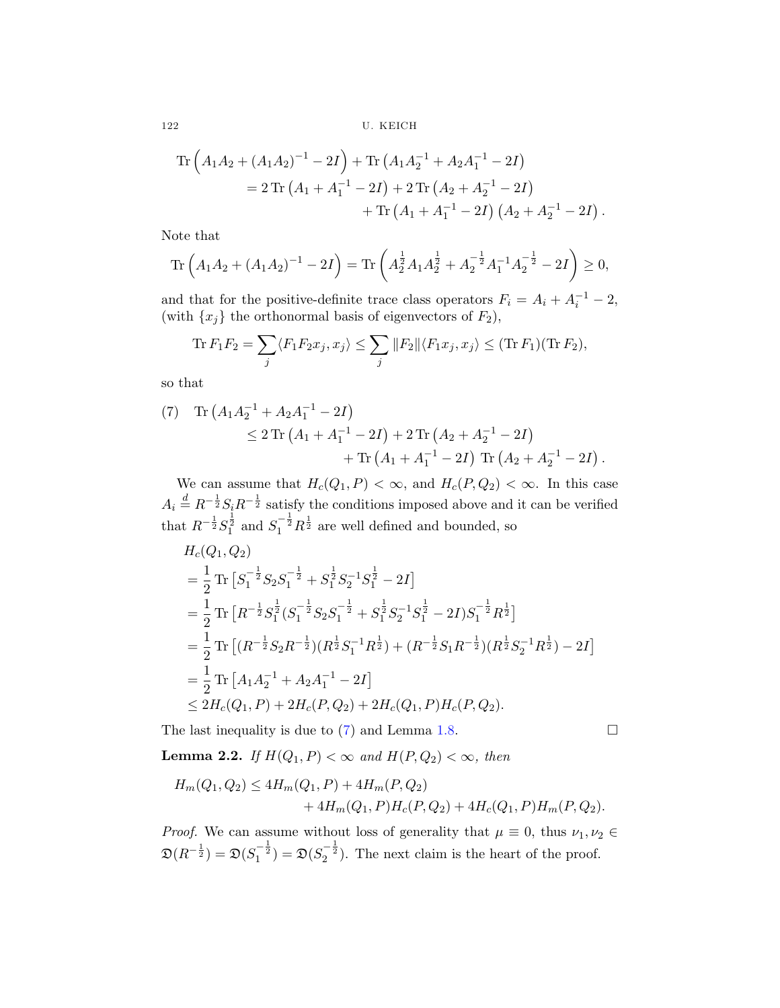$$
\begin{split} \operatorname{Tr}\left(A_{1}A_{2}+(A_{1}A_{2})^{-1}-2I\right)+\operatorname{Tr}\left(A_{1}A_{2}^{-1}+A_{2}A_{1}^{-1}-2I\right) \\ =2\operatorname{Tr}\left(A_{1}+A_{1}^{-1}-2I\right)+2\operatorname{Tr}\left(A_{2}+A_{2}^{-1}-2I\right) \\ &+\operatorname{Tr}\left(A_{1}+A_{1}^{-1}-2I\right)\left(A_{2}+A_{2}^{-1}-2I\right). \end{split}
$$

Note that

$$
\operatorname{Tr}\left(A_1A_2 + (A_1A_2)^{-1} - 2I\right) = \operatorname{Tr}\left(A_2^{\frac{1}{2}}A_1A_2^{\frac{1}{2}} + A_2^{-\frac{1}{2}}A_1^{-1}A_2^{-\frac{1}{2}} - 2I\right) \ge 0,
$$

and that for the positive-definite trace class operators  $F_i = A_i + A_i^{-1} - 2$ , (with  $\{x_j\}$  the orthonormal basis of eigenvectors of  $F_2$ ),

$$
\text{Tr}\,F_1F_2 = \sum_j \langle F_1F_2x_j, x_j \rangle \le \sum_j \|F_2\| \langle F_1x_j, x_j \rangle \le (\text{Tr}\,F_1)(\text{Tr}\,F_2),
$$

so that

(7) Tr 
$$
(A_1 A_2^{-1} + A_2 A_1^{-1} - 2I)
$$
  
\n $\leq 2 \operatorname{Tr} (A_1 + A_1^{-1} - 2I) + 2 \operatorname{Tr} (A_2 + A_2^{-1} - 2I)$   
\n $+ \operatorname{Tr} (A_1 + A_1^{-1} - 2I) \operatorname{Tr} (A_2 + A_2^{-1} - 2I).$ 

We can assume that  $H_c(Q_1, P) < \infty$ , and  $H_c(P, Q_2) < \infty$ . In this case  $A_i \stackrel{d}{=} R^{-\frac{1}{2}} S_i R^{-\frac{1}{2}}$  satisfy the conditions imposed above and it can be verified that  $R^{-\frac{1}{2}}S_1^{\frac{1}{2}}$  and  $S_1^{-\frac{1}{2}}R^{\frac{1}{2}}$  are well defined and bounded, so

$$
H_c(Q_1, Q_2)
$$
  
=  $\frac{1}{2}$  Tr  $[S_1^{-\frac{1}{2}} S_2 S_1^{-\frac{1}{2}} + S_1^{\frac{1}{2}} S_2^{-1} S_1^{\frac{1}{2}} - 2I]$   
=  $\frac{1}{2}$  Tr  $[R^{-\frac{1}{2}} S_1^{\frac{1}{2}} (S_1^{-\frac{1}{2}} S_2 S_1^{-\frac{1}{2}} + S_1^{\frac{1}{2}} S_2^{-1} S_1^{\frac{1}{2}} - 2I) S_1^{-\frac{1}{2}} R^{\frac{1}{2}}]$   
=  $\frac{1}{2}$  Tr  $[(R^{-\frac{1}{2}} S_2 R^{-\frac{1}{2}})(R^{\frac{1}{2}} S_1^{-1} R^{\frac{1}{2}}) + (R^{-\frac{1}{2}} S_1 R^{-\frac{1}{2}})(R^{\frac{1}{2}} S_2^{-1} R^{\frac{1}{2}}) - 2I]$   
=  $\frac{1}{2}$  Tr  $[A_1 A_2^{-1} + A_2 A_1^{-1} - 2I]$   
 $\leq 2H_c(Q_1, P) + 2H_c(P, Q_2) + 2H_c(Q_1, P)H_c(P, Q_2).$ 

The last inequality is due to  $(7)$  and Lemma [1.8.](#page-5-0)

**Lemma 2.2.** If  $H(Q_1, P) < \infty$  and  $H(P, Q_2) < \infty$ , then

$$
H_m(Q_1, Q_2) \le 4H_m(Q_1, P) + 4H_m(P, Q_2)
$$
  
+  $4H_m(Q_1, P)H_c(P, Q_2) + 4H_c(Q_1, P)H_m(P, Q_2).$ 

*Proof.* We can assume without loss of generality that  $\mu \equiv 0$ , thus  $\nu_1, \nu_2 \in$  $\mathfrak{D}(R^{-\frac{1}{2}}) = \mathfrak{D}(S_1^{-\frac{1}{2}}) = \mathfrak{D}(S_2^{-\frac{1}{2}})$ . The next claim is the heart of the proof.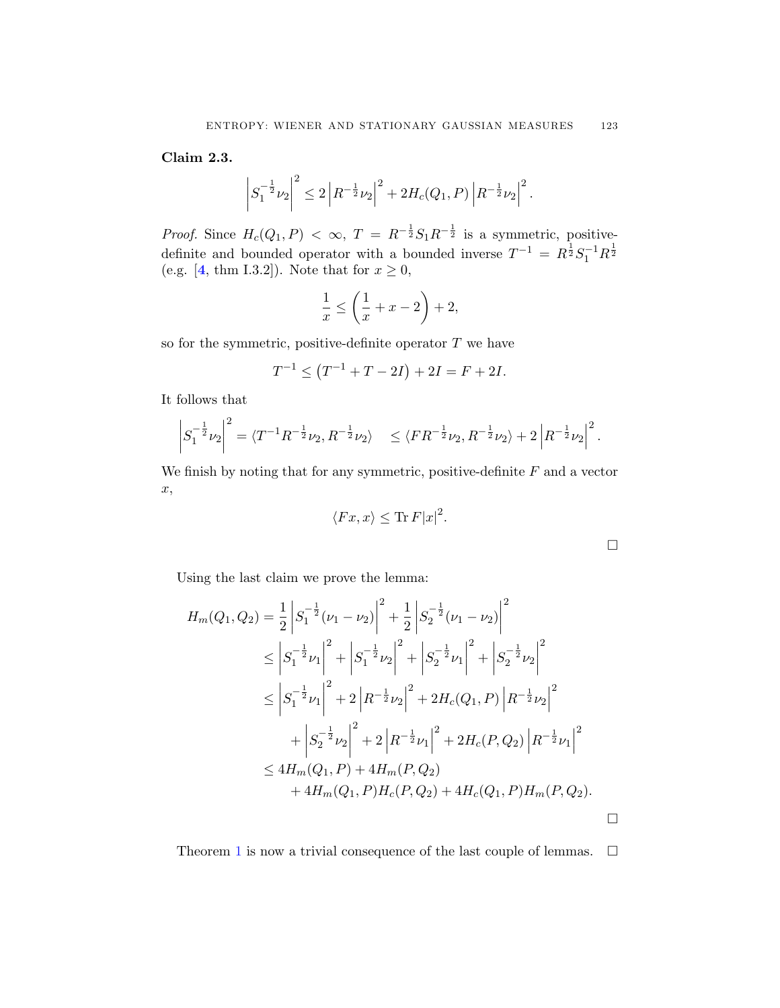**Claim 2.3.**

$$
\left| S_1^{-\frac{1}{2}} \nu_2 \right|^2 \leq 2 \left| R^{-\frac{1}{2}} \nu_2 \right|^2 + 2H_c(Q_1, P) \left| R^{-\frac{1}{2}} \nu_2 \right|^2.
$$

*Proof.* Since  $H_c(Q_1, P) < \infty$ ,  $T = R^{-\frac{1}{2}} S_1 R^{-\frac{1}{2}}$  is a symmetric, positivedefinite and bounded operator with a bounded inverse  $T^{-1} = R^{\frac{1}{2}} S_1^{-1} R^{\frac{1}{2}}$ (e.g. [[4](#page-19-0), thm I.3.2]). Note that for  $x \ge 0$ ,

$$
\frac{1}{x} \le \left(\frac{1}{x} + x - 2\right) + 2,
$$

so for the symmetric, positive-definite operator  $T$  we have

$$
T^{-1} \le (T^{-1} + T - 2I) + 2I = F + 2I.
$$

It follows that

$$
\left| S_1^{-\frac{1}{2}} \nu_2 \right|^2 = \langle T^{-1} R^{-\frac{1}{2}} \nu_2, R^{-\frac{1}{2}} \nu_2 \rangle \le \langle FR^{-\frac{1}{2}} \nu_2, R^{-\frac{1}{2}} \nu_2 \rangle + 2 \left| R^{-\frac{1}{2}} \nu_2 \right|^2.
$$

We finish by noting that for any symmetric, positive-definite  $F$  and a vector x,

$$
\langle Fx, x \rangle \le \text{Tr}\, F|x|^2.
$$

 $\Box$ 

Using the last claim we prove the lemma:

$$
H_m(Q_1, Q_2) = \frac{1}{2} \left| S_1^{-\frac{1}{2}} (\nu_1 - \nu_2) \right|^2 + \frac{1}{2} \left| S_2^{-\frac{1}{2}} (\nu_1 - \nu_2) \right|^2
$$
  
\n
$$
\leq \left| S_1^{-\frac{1}{2}} \nu_1 \right|^2 + \left| S_1^{-\frac{1}{2}} \nu_2 \right|^2 + \left| S_2^{-\frac{1}{2}} \nu_1 \right|^2 + \left| S_2^{-\frac{1}{2}} \nu_2 \right|^2
$$
  
\n
$$
\leq \left| S_1^{-\frac{1}{2}} \nu_1 \right|^2 + 2 \left| R^{-\frac{1}{2}} \nu_2 \right|^2 + 2H_c(Q_1, P) \left| R^{-\frac{1}{2}} \nu_2 \right|^2
$$
  
\n
$$
+ \left| S_2^{-\frac{1}{2}} \nu_2 \right|^2 + 2 \left| R^{-\frac{1}{2}} \nu_1 \right|^2 + 2H_c(P, Q_2) \left| R^{-\frac{1}{2}} \nu_1 \right|^2
$$
  
\n
$$
\leq 4H_m(Q_1, P) + 4H_m(P, Q_2)
$$
  
\n
$$
+ 4H_m(Q_1, P)H_c(P, Q_2) + 4H_c(Q_1, P)H_m(P, Q_2).
$$

Theorem [1](#page-4-0) is now a trivial consequence of the last couple of lemmas.  $\Box$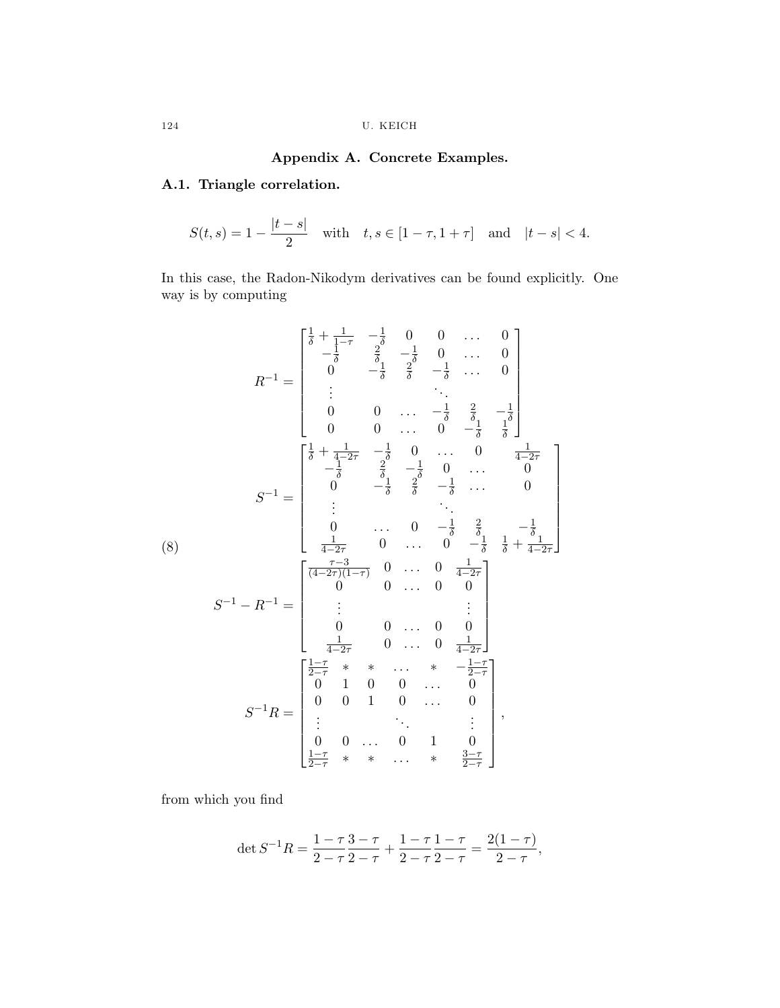## **Appendix A. Concrete Examples.**

# <span id="page-15-0"></span>**A.1. Triangle correlation.**

$$
S(t,s) = 1 - \frac{|t-s|}{2} \quad \text{with} \quad t, s \in [1 - \tau, 1 + \tau] \quad \text{and} \quad |t - s| < 4.
$$

In this case, the Radon-Nikodym derivatives can be found explicitly. One way is by computing

$$
R^{-1} = \begin{bmatrix} \frac{1}{\delta} + \frac{1}{1-\tau} & -\frac{1}{\delta} & 0 & 0 & \cdots & 0 \\ -\frac{1}{\delta} & \frac{2}{\delta} & -\frac{1}{\delta} & 0 & \cdots & 0 \\ 0 & -\frac{1}{\delta} & \frac{2}{\delta} & -\frac{1}{\delta} & \cdots & 0 \\ \vdots & & & \ddots & & \\ 0 & 0 & \cdots & -\frac{1}{\delta} & \frac{2}{\delta} & -\frac{1}{\delta} \\ 0 & 0 & \cdots & 0 & -\frac{1}{\delta} & \frac{2}{\delta} & -\frac{1}{\delta} \\ -\frac{1}{\delta} & \frac{2}{\delta} & -\frac{1}{\delta} & 0 & \cdots & 0 \\ 0 & -\frac{1}{\delta} & \frac{2}{\delta} & -\frac{1}{\delta} & \cdots & 0 \\ \vdots & & & \ddots & & \\ 0 & \cdots & 0 & -\frac{1}{\delta} & \frac{2}{\delta} & -\frac{1}{\delta} \\ \vdots & & & & \ddots & \\ 0 & \cdots & 0 & -\frac{1}{\delta} & \frac{2}{\delta} & -\frac{1}{\delta} \\ \frac{1}{4-2\tau} & 0 & \cdots & 0 & -\frac{1}{\delta} & \frac{1}{\delta} + \frac{1}{4-2\tau} \end{bmatrix}
$$

$$
S^{-1} - R^{-1} = \begin{bmatrix} \frac{\tau-3}{(4-2\tau)(1-\tau)} & 0 & \cdots & 0 & \frac{1}{4-2\tau} \\ \vdots & & & & \vdots \\ 0 & 0 & \cdots & 0 & 0 \\ \frac{1}{4-2\tau} & 0 & \cdots & 0 & 0 \\ 0 & 0 & 0 & \cdots & 0 & 0 \\ \frac{1}{4-2\tau} & 0 & \cdots & 0 & \frac{1}{4-2\tau} \end{bmatrix}
$$

$$
S^{-1}R = \begin{bmatrix} \frac{1-\tau}{2-\tau} & * & * & \cdots & * & -\frac{1-\tau}{2-\tau} \\ 0 & 1 & 0 & \cdots & 0 & 1 \\ \vdots & & & \ddots & & \vdots \\ 0 & 0 & \cdots & 0 & 1 & 0 \\ \frac{1-\tau}{2-\tau} & * & * &
$$

from which you find

$$
\det S^{-1}R = \frac{1-\tau}{2-\tau}\frac{3-\tau}{2-\tau} + \frac{1-\tau}{2-\tau}\frac{1-\tau}{2-\tau} = \frac{2(1-\tau)}{2-\tau},
$$

(8)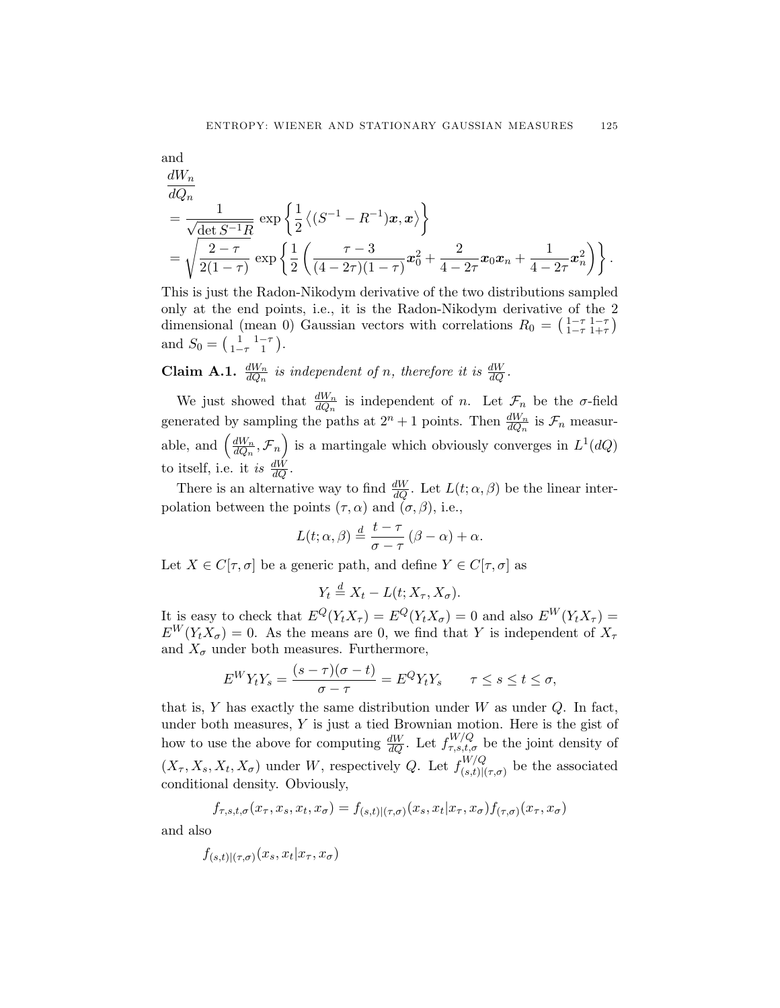and  
\n
$$
\frac{dW_n}{dQ_n} = \frac{1}{\sqrt{\det S^{-1}R}} \exp \left\{ \frac{1}{2} \left\langle (S^{-1} - R^{-1}) x, x \right\rangle \right\}
$$
\n
$$
= \sqrt{\frac{2-\tau}{2(1-\tau)}} \exp \left\{ \frac{1}{2} \left( \frac{\tau - 3}{(4-2\tau)(1-\tau)} x_0^2 + \frac{2}{4-2\tau} x_0 x_n + \frac{1}{4-2\tau} x_n^2 \right) \right\}.
$$

This is just the Radon-Nikodym derivative of the two distributions sampled only at the end points, i.e., it is the Radon-Nikodym derivative of the 2 dimensional (mean 0) Gaussian vectors with correlations  $R_0 = \left(\frac{1-\tau}{1-\tau}\frac{1-\tau}{1+\tau}\right)$ and  $S_0 = \begin{pmatrix} 1 & 1-\tau \\ 1-\tau & 1 \end{pmatrix}$ .

**Claim A.1.**  $\frac{dW_n}{dQ_n}$  is independent of n, therefore it is  $\frac{dW}{dQ}$ .

We just showed that  $\frac{dW_n}{dQ_n}$  is independent of n. Let  $\mathcal{F}_n$  be the  $\sigma$ -field generated by sampling the paths at  $2^n + 1$  points. Then  $\frac{dW_n}{dQ_n}$  is  $\mathcal{F}_n$  measurable, and  $\left(\frac{dW_n}{dQ_n}, \mathcal{F}_n\right)$  is a martingale which obviously converges in  $L^1(dQ)$ to itself, i.e. it is  $\frac{dW}{dQ}$ .

There is an alternative way to find  $\frac{dW}{dQ}$ . Let  $L(t; \alpha, \beta)$  be the linear interpolation between the points  $(\tau, \alpha)$  and  $(\sigma, \beta)$ , i.e.,

$$
L(t; \alpha, \beta) \stackrel{d}{=} \frac{t - \tau}{\sigma - \tau} (\beta - \alpha) + \alpha.
$$

Let  $X \in C[\tau, \sigma]$  be a generic path, and define  $Y \in C[\tau, \sigma]$  as

$$
Y_t \stackrel{d}{=} X_t - L(t; X_\tau, X_\sigma).
$$

It is easy to check that  $E^Q(Y_t X_\tau) = E^Q(Y_t X_\sigma) = 0$  and also  $E^W(Y_t X_\tau) =$  $E^{W}(Y_tX_{\sigma})=0$ . As the means are 0, we find that Y is independent of  $X_{\tau}$ and  $X_{\sigma}$  under both measures. Furthermore,

$$
E^{W}Y_{t}Y_{s} = \frac{(s-\tau)(\sigma-t)}{\sigma-\tau} = E^{Q}Y_{t}Y_{s} \qquad \tau \leq s \leq t \leq \sigma,
$$

that is,  $Y$  has exactly the same distribution under  $W$  as under  $Q$ . In fact, under both measures,  $Y$  is just a tied Brownian motion. Here is the gist of how to use the above for computing  $\frac{dW}{dQ}$ . Let  $f_{\tau,s,t,\sigma}^{W/Q}$  be the joint density of  $(X_{\tau}, X_s, X_t, X_{\sigma})$  under W, respectively Q. Let  $f_{(s,t)|(\tau,\sigma)}^{W/Q}$  be the associated conditional density. Obviously,

$$
f_{\tau,s,t,\sigma}(x_{\tau},x_s,x_t,x_{\sigma})=f_{(s,t)|(\tau,\sigma)}(x_s,x_t|x_{\tau},x_{\sigma})f_{(\tau,\sigma)}(x_{\tau},x_{\sigma})
$$

and also

$$
f_{(s,t)|(\tau,\sigma)}(x_s, x_t|x_\tau, x_\sigma)
$$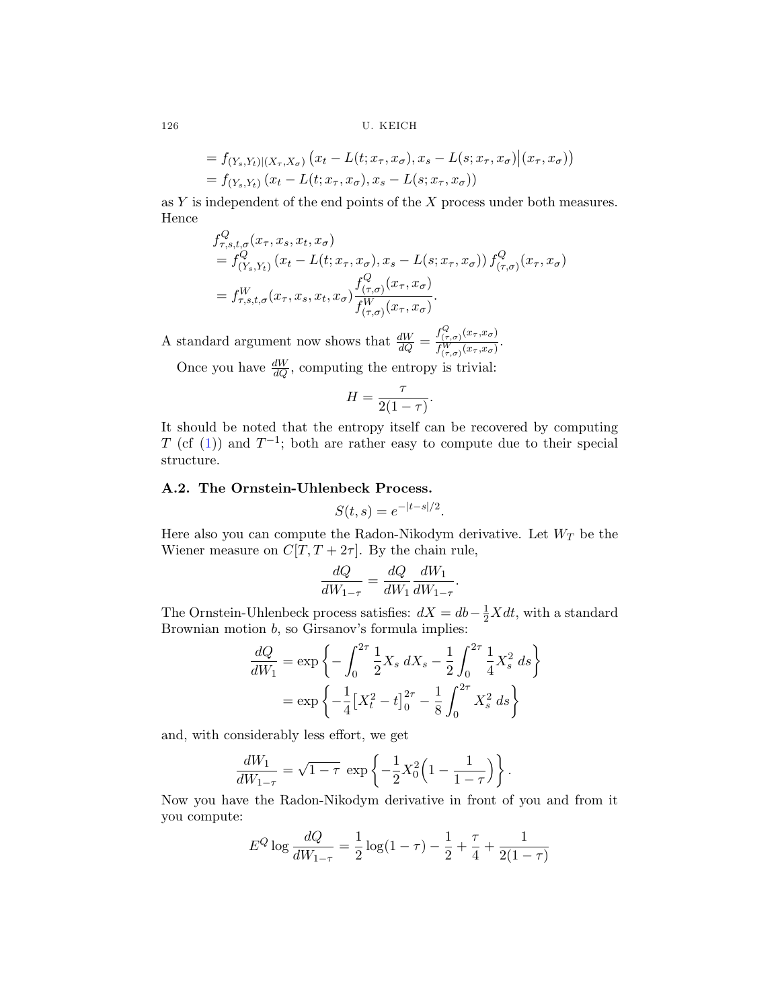$$
= f_{(Y_s,Y_t)|(X_\tau,X_\sigma)}(x_t - L(t;x_\tau,x_\sigma),x_s - L(s;x_\tau,x_\sigma)|(x_\tau,x_\sigma))
$$
  
=  $f_{(Y_s,Y_t)}(x_t - L(t;x_\tau,x_\sigma),x_s - L(s;x_\tau,x_\sigma))$ 

as  $Y$  is independent of the end points of the  $X$  process under both measures. Hence

$$
f_{\tau,s,t,\sigma}^{Q}(x_{\tau},x_{s},x_{t},x_{\sigma})
$$
  
=  $f_{(Y_{s},Y_{t})}^{Q}(x_{t}-L(t;x_{\tau},x_{\sigma}),x_{s}-L(s;x_{\tau},x_{\sigma})) f_{(\tau,\sigma)}^{Q}(x_{\tau},x_{\sigma})$   
=  $f_{\tau,s,t,\sigma}^{W}(x_{\tau},x_{s},x_{t},x_{\sigma}) \frac{f_{(\tau,\sigma)}^{Q}(x_{\tau},x_{\sigma})}{f_{(\tau,\sigma)}^{W}(x_{\tau},x_{\sigma})}$ .

A standard argument now shows that  $\frac{dW}{dQ} = \frac{f_{(\tau,\sigma)}^Q(x_\tau,x_\sigma)}{f_{(\tau-\sigma)}^W(x_\tau,x_\sigma)}$  $\frac{J(\tau,\sigma)}{f^W_{(\tau,\sigma)}(x_\tau,x_\sigma)}$ . Once you have  $\frac{dW}{dQ}$ , computing the entropy is trivial:

$$
H = \frac{\tau}{2(1-\tau)}.
$$

It should be noted that the entropy itself can be recovered by computing T (cf ([1](#page-2-0))) and  $T^{-1}$ ; both are rather easy to compute due to their special structure.

## **A.2. The Ornstein-Uhlenbeck Process.**

$$
S(t,s) = e^{-|t-s|/2}.
$$

Here also you can compute the Radon-Nikodym derivative. Let  $W_T$  be the Wiener measure on  $C[T, T + 2\tau]$ . By the chain rule,

$$
\frac{dQ}{dW_{1-\tau}} = \frac{dQ}{dW_1} \frac{dW_1}{dW_{1-\tau}}.
$$

The Ornstein-Uhlenbeck process satisfies:  $dX = db - \frac{1}{2}Xdt$ , with a standard Brownian motion  $b$ , so Girsanov's formula implies:

$$
\frac{dQ}{dW_1} = \exp\left\{-\int_0^{2\tau} \frac{1}{2} X_s \, dX_s - \frac{1}{2} \int_0^{2\tau} \frac{1}{4} X_s^2 \, ds\right\}
$$

$$
= \exp\left\{-\frac{1}{4} \left[X_t^2 - t\right]_0^{2\tau} - \frac{1}{8} \int_0^{2\tau} X_s^2 \, ds\right\}
$$

and, with considerably less effort, we get

$$
\frac{dW_1}{dW_{1-\tau}} = \sqrt{1-\tau} \, \exp\left\{-\frac{1}{2}X_0^2\left(1-\frac{1}{1-\tau}\right)\right\}.
$$

Now you have the Radon-Nikodym derivative in front of you and from it you compute:

$$
E^{Q} \log \frac{dQ}{dW_{1-\tau}} = \frac{1}{2} \log(1-\tau) - \frac{1}{2} + \frac{\tau}{4} + \frac{1}{2(1-\tau)}
$$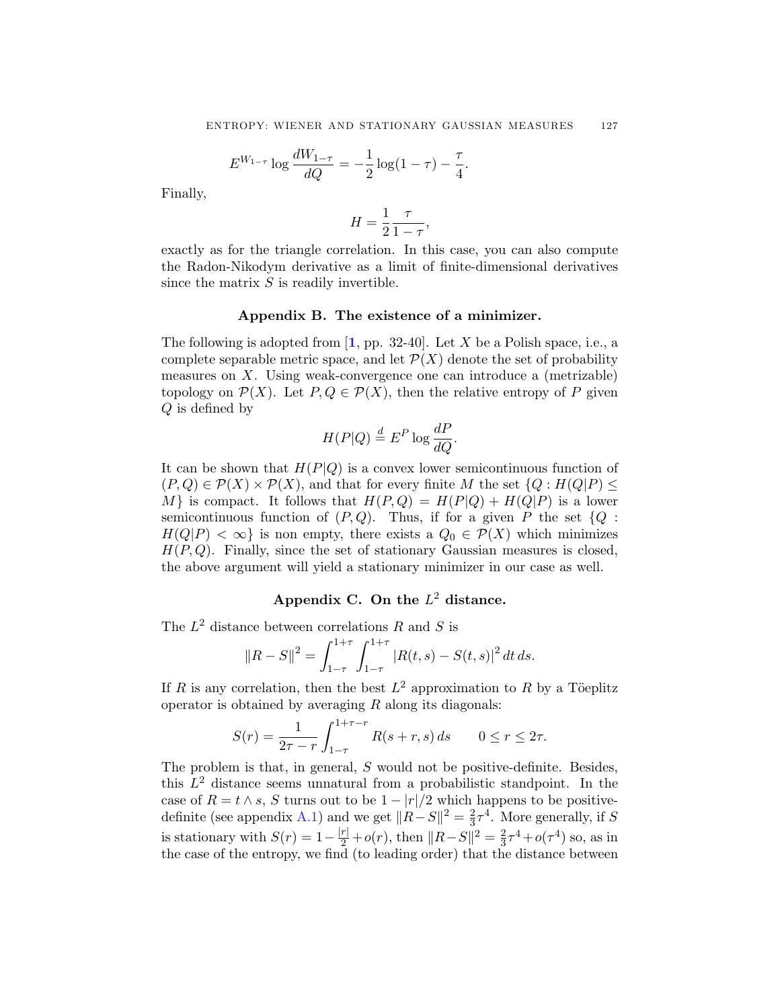$$
E^{W_{1-\tau}} \log \frac{dW_{1-\tau}}{dQ} = -\frac{1}{2} \log(1-\tau) - \frac{\tau}{4}.
$$

<span id="page-18-0"></span>Finally,

$$
H = \frac{1}{2} \frac{\tau}{1 - \tau},
$$

exactly as for the triangle correlation. In this case, you can also compute the Radon-Nikodym derivative as a limit of finite-dimensional derivatives since the matrix  $S$  is readily invertible.

### **Appendix B. The existence of a minimizer.**

The following is adopted from  $\left[1, \text{ pp. } 32\text{-}40\right]$  $\left[1, \text{ pp. } 32\text{-}40\right]$  $\left[1, \text{ pp. } 32\text{-}40\right]$ . Let X be a Polish space, i.e., a complete separable metric space, and let  $\mathcal{P}(X)$  denote the set of probability measures on X. Using weak-convergence one can introduce a (metrizable) topology on  $\mathcal{P}(X)$ . Let  $P, Q \in \mathcal{P}(X)$ , then the relative entropy of P given Q is defined by

$$
H(P|Q) \stackrel{d}{=} E^P \log \frac{dP}{dQ}.
$$

It can be shown that  $H(P|Q)$  is a convex lower semicontinuous function of  $(P,Q) \in \mathcal{P}(X) \times \mathcal{P}(X)$ , and that for every finite M the set  $\{Q : H(Q|P) \leq \emptyset\}$ M is compact. It follows that  $H(P,Q) = H(P|Q) + H(Q|P)$  is a lower semicontinuous function of  $(P,Q)$ . Thus, if for a given P the set  $\{Q:$  $H(Q|P) < \infty$  is non empty, there exists a  $Q_0 \in \mathcal{P}(X)$  which minimizes  $H(P,Q)$ . Finally, since the set of stationary Gaussian measures is closed, the above argument will yield a stationary minimizer in our case as well.

# **Appendix C. On the** L<sup>2</sup> **distance.**

The  $L^2$  distance between correlations R and S is

$$
||R - S||^{2} = \int_{1-\tau}^{1+\tau} \int_{1-\tau}^{1+\tau} |R(t,s) - S(t,s)|^{2} dt ds.
$$

If R is any correlation, then the best  $L^2$  approximation to R by a Töeplitz operator is obtained by averaging  $R$  along its diagonals:

$$
S(r) = \frac{1}{2\tau - r} \int_{1-\tau}^{1+\tau - r} R(s+r, s) \, ds \qquad 0 \le r \le 2\tau.
$$

The problem is that, in general, S would not be positive-definite. Besides, this  $L^2$  distance seems unnatural from a probabilistic standpoint. In the case of  $R = t \wedge s$ , S turns out to be  $1 - |r|/2$  which happens to be positive-definite (see appendix [A.1\)](#page-15-0) and we get  $||R-S||^2 = \frac{2}{3}\tau^4$ . More generally, if S is stationary with  $S(r) = 1 - \frac{|r|}{2} + o(r)$ , then  $||R - S||^2 = \frac{2}{3}\tau^4 + o(\tau^4)$  so, as in the case of the entropy, we find (to leading order) that the distance between